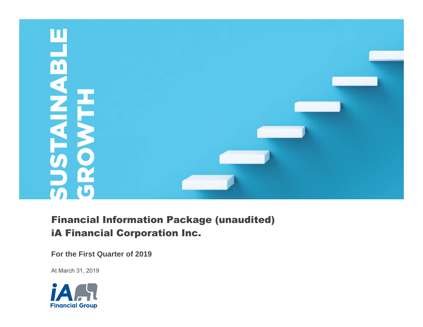

# Financial Information Package (unaudited) iA Financial Corporation Inc.

**For the First Quarter of 2019**

At March 31, 2019

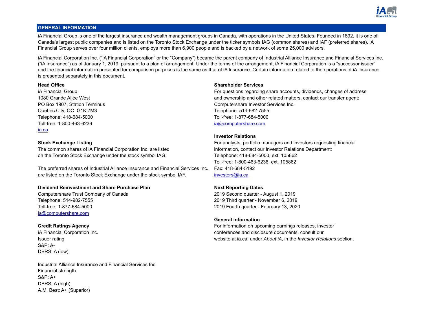

# **GENERAL INFORMATION**

iA Financial Group is one of the largest insurance and wealth management groups in Canada, with operations in the United States. Founded in 1892, it is one of Canada's largest public companies and is listed on the Toronto Stock Exchange under the ticker symbols IAG (common shares) and IAF (preferred shares). iA Financial Group serves over four million clients, employs more than 6,900 people and is backed by a network of some 25,000 advisors.

iA Financial Corporation Inc. ("iA Financial Corporation" or the "Company") became the parent company of Industrial Alliance Insurance and Financial Services Inc. ("iA Insurance") as of January 1, 2019, pursuant to a plan of arrangement. Under the terms of the arrangement, iA Financial Corporation is a "successor issuer" and the financial information presented for comparison purposes is the same as that of iA Insurance. Certain information related to the operations of iA Insurance is presented separately in this document.

Quebec City, QC G1K 7M3 Telephone: 514-982-7555 Telephone: 418-684-5000 Toll-free: 1-877-684-5000 Toll-free: 1-800-463-6236 [ia@computershare.com](mailto:ia@computershare.com) [ia.ca](www.ia.ca)

The common shares of iA Financial Corporation Inc. are listed information, contact our Investor Relations Department: on the Toronto Stock Exchange under the stock symbol IAG. The State of Telephone: 418-684-5000, ext. 105862

The preferred shares of Industrial Alliance Insurance and Financial Services Inc. are listed on the Toronto Stock Exchange under the stock symbol IAF.

# **Dividend Reinvestment and Share Purchase Plan Next Reporting Dates**

Computershare Trust Company of Canada 2019 Second quarter - August 1, 2019 Telephone: 514-982-7555 2019 Third quarter - November 6, 2019 Toll-free: 1-877-684-5000 2019 Fourth quarter - February 13, 2020 [ia@computershare.com](mailto:ia@computershare.com)

S&P: A-DBRS: A (low)

Industrial Alliance Insurance and Financial Services Inc. Financial strength S&P: A+ DBRS: A (high) A.M. Best: A+ (Superior)

# **Head Office Shareholder Services**

iA Financial Group For questions regarding share accounts, dividends, changes of address 1080 Grande Allée West and ownership and other related matters, contact our transfer agent: PO Box 1907, Station Terminus Computershare Investor Services Inc.

# **Investor Relations**

**Stock Exchange Listing** For analysts, portfolio managers and investors requesting financial Toll-free: 1-800-463-6236, ext. 105862 Fax: 418-684-5192 [investors@ia.ca](mailto:investors@ia.ca)

# **General information**

**Credit Ratings Agency For information on upcoming earnings releases, investor Credit Ratings Agency** iA Financial Corporation Inc. conferences and disclosure documents, consult our Issuer rating website a[t ia.ca,](www.ia.ca) under *About iA*, in the *Investor Relations* section.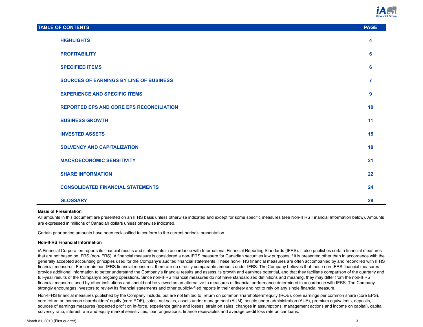

| <b>TABLE OF CONTENTS</b>                        | <b>PAGE</b>    |
|-------------------------------------------------|----------------|
| <b>HIGHLIGHTS</b>                               | 4              |
| <b>PROFITABILITY</b>                            | 6              |
| <b>SPECIFIED ITEMS</b>                          | 6              |
| <b>SOURCES OF EARNINGS BY LINE OF BUSINESS</b>  | $\overline{7}$ |
| <b>EXPERIENCE AND SPECIFIC ITEMS</b>            | 9              |
| <b>REPORTED EPS AND CORE EPS RECONCILIATION</b> | 10             |
| <b>BUSINESS GROWTH</b>                          | 11             |
| <b>INVESTED ASSETS</b>                          | 15             |
| <b>SOLVENCY AND CAPITALIZATION</b>              | 18             |
| <b>MACROECONOMIC SENSITIVITY</b>                | 21             |
| <b>SHARE INFORMATION</b>                        | 22             |
| <b>CONSOLIDATED FINANCIAL STATEMENTS</b>        | 24             |
| <b>GLOSSARY</b>                                 | 28             |

#### **Basis of Presentation**

All amounts in this document are presented on an IFRS basis unless otherwise indicated and except for some specific measures (see Non-IFRS Financial Information below). Amounts are expressed in millions of Canadian dollars unless otherwise indicated.

Certain prior period amounts have been reclassified to conform to the current period's presentation.

#### **Non-IFRS Financial Information**

iA Financial Corporation reports its financial results and statements in accordance with International Financial Reporting Standards (IFRS). It also publishes certain financial measures that are not based on IFRS (non-IFRS). A financial measure is considered a non-IFRS measure for Canadian securities law purposes if it is presented other than in accordance with the generally accepted accounting principles used for the Company's audited financial statements. These non-IFRS financial measures are often accompanied by and reconciled with IFRS financial measures. For certain non-IFRS financial measures, there are no directly comparable amounts under IFRS. The Company believes that these non-IFRS financial measures provide additional information to better understand the Company's financial results and assess its growth and earnings potential, and that they facilitate comparison of the quarterly and full-year results of the Company's ongoing operations. Since non-IFRS financial measures do not have standardized definitions and meaning, they may differ from the non-IFRS financial measures used by other institutions and should not be viewed as an alternative to measures of financial performance determined in accordance with IFRS. The Company strongly encourages investors to review its financial statements and other publicly-filed reports in their entirety and not to rely on any single financial measure.

Non-IFRS financial measures published by the Company include, but are not limited to: return on common shareholders' equity (ROE), core earnings per common share (core EPS), core return on common shareholders' equity (core ROE), sales, net sales, assets under management (AUM), assets under administration (AUA), premium equivalents, deposits, sources of earnings measures (expected profit on in-force, experience gains and losses, strain on sales, changes in assumptions, management actions and income on capital), capital, solvency ratio, interest rate and equity market sensitivities, loan originations, finance receivables and average credit loss rate on car loans.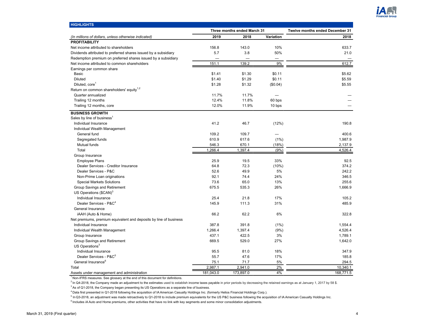

<span id="page-3-0"></span>

| <b>HIGHLIGHTS</b>                                                 |           |                             |           |                                 |  |
|-------------------------------------------------------------------|-----------|-----------------------------|-----------|---------------------------------|--|
|                                                                   |           | Three months ended March 31 |           | Twelve months ended December 31 |  |
| (In millions of dollars, unless otherwise indicated)              | 2019      | 2018                        | Variation | 2018                            |  |
| <b>PROFITABILITY</b>                                              |           |                             |           |                                 |  |
| Net income attributed to shareholders                             | 156.8     | 143.0                       | 10%       | 633.7                           |  |
| Dividends attributed to preferred shares issued by a subsidiary   | 5.7       | 3.8                         | 50%       | 21.0                            |  |
| Redemption premium on preferred shares issued by a subsidiary     |           |                             |           |                                 |  |
| Net income attributed to common shareholders                      | 151.1     | 139.2                       | 9%        | 612.7                           |  |
| Earnings per common share                                         |           |                             |           |                                 |  |
| Basic                                                             | \$1.41    | \$1.30                      | \$0.11    | \$5.62                          |  |
| <b>Diluted</b>                                                    | \$1.40    | \$1.29                      | \$0.11    | \$5.59                          |  |
| Diluted, core <sup>1</sup>                                        | \$1.28    | \$1.32                      | (\$0.04)  | \$5.55                          |  |
| Return on common shareholders' equity <sup>1,2</sup>              |           |                             |           |                                 |  |
| Quarter annualized                                                | 11.7%     | 11.7%                       |           |                                 |  |
| Trailing 12 months                                                | 12.4%     | 11.8%                       | 60 bps    |                                 |  |
| Trailing 12 months, core                                          | 12.0%     | 11.9%                       | 10 bps    |                                 |  |
| <b>BUSINESS GROWTH</b>                                            |           |                             |           |                                 |  |
| Sales by line of business                                         |           |                             |           |                                 |  |
| Individual Insurance                                              | 41.2      | 46.7                        | (12%)     | 190.8                           |  |
| Individual Wealth Management                                      |           |                             |           |                                 |  |
| General fund                                                      | 109.2     | 109.7                       |           | 400.6                           |  |
| Segregated funds                                                  | 610.9     | 617.6                       | (1%)      | 1,987.9                         |  |
| Mutual funds                                                      | 546.3     | 670.1                       | (18%)     | 2,137.9                         |  |
| Total                                                             | 1,266.4   | 1,397.4                     | (9%       | 4,526.4                         |  |
| Group Insurance                                                   |           |                             |           |                                 |  |
| <b>Employee Plans</b>                                             | 25.9      | 19.5                        | 33%       | 92.5                            |  |
| Dealer Services - Creditor Insurance                              | 64.8      | 72.3                        | (10%)     | 374.2                           |  |
| Dealer Services - P&C                                             | 52.6      | 49.9                        | 5%        | 242.2                           |  |
| Non-Prime Loan originations                                       | 92.1      | 74.4                        | 24%       | 346.5                           |  |
| <b>Special Markets Solutions</b>                                  | 73.6      | 65.0                        | 13%       | 255.6                           |  |
| Group Savings and Retirement                                      | 675.5     | 535.3                       | 26%       | 1,666.9                         |  |
| US Operations (\$CAN) <sup>3</sup>                                |           |                             |           |                                 |  |
| Individual Insurance                                              | 25.4      | 21.8                        | 17%       | 105.2                           |  |
| Dealer Services - P&C <sup>4</sup>                                | 145.9     | 111.3                       | 31%       | 485.9                           |  |
| General Insurance                                                 |           |                             |           |                                 |  |
| iAAH (Auto & Home)                                                | 66.2      | 62.2                        | 6%        | 322.8                           |  |
| Net premiums, premium equivalent and deposits by line of business |           |                             |           |                                 |  |
| Individual Insurance                                              | 387.8     | 391.8                       | (1%)      | 1.554.4                         |  |
| Individual Wealth Management                                      | 1,266.4   | 1,397.4                     | (9%)      | 4,526.4                         |  |
| Group Insurance                                                   | 437.1     | 422.5                       | 3%        | 1,789.1                         |  |
| Group Savings and Retirement                                      | 669.5     | 529.0                       | 27%       | 1,642.0                         |  |
| US Operations <sup>3</sup>                                        |           |                             |           |                                 |  |
| Individual Insurance                                              | 95.5      | 81.0                        | 18%       | 347.9                           |  |
| Dealer Services - P&C <sup>5</sup>                                | 55.7      | 47.6                        | 17%       | 185.8                           |  |
| General Insurance <sup>6</sup>                                    | 75.1      | 71.7                        | 5%        | 294.5                           |  |
| Total                                                             | 2,987.1   | 2,941.0                     | 2%        | 10,340.1                        |  |
| Assets under management and administration                        | 181,043.0 | 173,897.0                   | 4%        | 168,771.5                       |  |

<sup>2</sup> In Q4-2018, the Company made an adjustment to the estimates used to establish income taxes payable in prior periods by decreasing the retained earnings as at January 1, 2017 by 58 \$.

<sup>3</sup> As of Q1-2018, the Company began presenting its US Operations as a separate line of business.

<sup>4</sup>Data first presented in Q1-2018 following the acquisition of IA American Casualty Holdings Inc. (formerly Helios Financial Holdings Corp.).

<sup>5</sup> In Q3-2018, an adjustment was made retroactively to Q1-2018 to include premium equivalents for the US P&C business following the acquisition of IA American Casualty Holdings Inc.

 $6$  Includes iA Auto and Home premiums, other activities that have no link with key segments and some minor consolidation adjustments.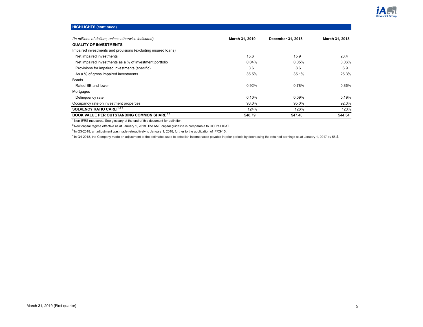

# **HIGHLIGHTS (continued)**

| (In millions of dollars, unless otherwise indicated)          | March 31, 2019 | December 31, 2018 | March 31, 2018 |
|---------------------------------------------------------------|----------------|-------------------|----------------|
| <b>QUALITY OF INVESTMENTS</b>                                 |                |                   |                |
| Impaired investments and provisions (excluding insured loans) |                |                   |                |
| Net impaired investments                                      | 15.6           | 15.9              | 20.4           |
| Net impaired investments as a % of investment portfolio       | 0.04%          | 0.05%             | 0.06%          |
| Provisions for impaired investments (specific)                | 8.6            | 8.6               | 6.9            |
| As a % of gross impaired investments                          | 35.5%          | 35.1%             | 25.3%          |
| <b>Bonds</b>                                                  |                |                   |                |
| Rated BB and lower                                            | 0.92%          | 0.78%             | 0.86%          |
| Mortgages                                                     |                |                   |                |
| Delinguency rate                                              | 0.10%          | 0.09%             | 0.19%          |
| Occupancy rate on investment properties                       | 96.0%          | 95.0%             | 92.0%          |
| SOLVENCY RATIO CARLI <sup>1,2,4</sup>                         | 124%           | 126%              | 120%           |
| <b>BOOK VALUE PER OUTSTANDING COMMON SHARE</b> <sup>3,4</sup> | \$48.79        | \$47.40           | \$44.34        |

<sup>1</sup> Non-IFRS measures. See glossary at the end of this document for definition.

 $2$ New capital regime effective as at January 1, 2018. The AMF capital guideline is comparable to OSFI's LICAT.

<sup>3</sup> In Q3-2018, an adjustment was made retroactively to January 1, 2018, further to the application of IFRS-15.

<sup>4</sup> In Q4-2018, the Company made an adjustment to the estimates used to establish income taxes payable in prior periods by decreasing the retained earnings as at January 1, 2017 by 58 \$.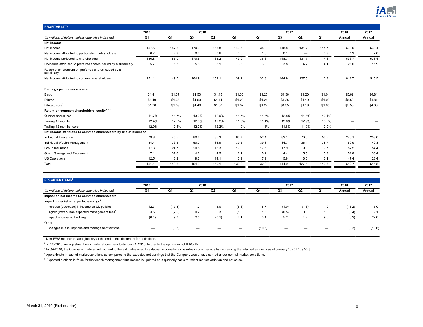

<span id="page-5-0"></span>

| <b>PROFITABILITY</b>                                             |                          |        |        |        |        |        |        |                   |        |        |        |
|------------------------------------------------------------------|--------------------------|--------|--------|--------|--------|--------|--------|-------------------|--------|--------|--------|
|                                                                  | 2019                     |        | 2018   |        |        |        | 2017   |                   |        | 2018   | 2017   |
| (In millions of dollars, unless otherwise indicated)             | Q1                       | Q4     | Q3     | Q2     | Q1     | Q4     | Q3     | Q <sub>2</sub>    | Q1     | Annual | Annual |
| Net income                                                       |                          |        |        |        |        |        |        |                   |        |        |        |
| Net income                                                       | 157.5                    | 157.8  | 170.9  | 165.8  | 143.5  | 138.2  | 148.8  | 131.7             | 114.7  | 638.0  | 533.4  |
| Net income attributed to participating policyholders             | 0.7                      | 2.8    | 0.4    | 0.6    | 0.5    | 1.6    | 0.1    | $\qquad \qquad -$ | 0.3    | 4.3    | 2.0    |
| Net income attributed to shareholders                            | 156.8                    | 155.0  | 170.5  | 165.2  | 143.0  | 136.6  | 148.7  | 131.7             | 114.4  | 633.7  | 531.4  |
| Dividends attributed to preferred shares issued by a subsidiary  | 5.7                      | 5.5    | 5.6    | 6.1    | 3.8    | 3.8    | 3.8    | 4.2               | 4.1    | 21.0   | 15.9   |
| Redemption premium on preferred shares issued by a<br>subsidiary | $\overline{\phantom{0}}$ | —      | —      | —      |        | -      |        |                   |        |        |        |
| Net income attributed to common shareholders                     | 151.1                    | 149.5  | 164.9  | 159.1  | 139.2  | 132.8  | 144.9  | 127.5             | 110.3  | 612.7  | 515.5  |
|                                                                  |                          |        |        |        |        |        |        |                   |        |        |        |
| Earnings per common share                                        |                          |        |        |        |        |        |        |                   |        |        |        |
| Basic                                                            | \$1.41                   | \$1.37 | \$1.50 | \$1.45 | \$1.30 | \$1.25 | \$1.36 | \$1.20            | \$1.04 | \$5.62 | \$4.84 |
| Diluted                                                          | \$1.40                   | \$1.36 | \$1.50 | \$1.44 | \$1.29 | \$1.24 | \$1.35 | \$1.19            | \$1.03 | \$5.59 | \$4.81 |
| Diluted, core <sup>1</sup>                                       | \$1.28                   | \$1.39 | \$1.46 | \$1.38 | \$1.32 | \$1.27 | \$1.35 | \$1.19            | \$1.05 | \$5.55 | \$4.86 |
| Return on common shareholders' equity <sup>1,2,3</sup>           |                          |        |        |        |        |        |        |                   |        |        |        |
| Quarter annualized                                               | 11.7%                    | 11.7%  | 13.0%  | 12.9%  | 11.7%  | 11.5%  | 12.8%  | 11.5%             | 10.1%  |        |        |
| Trailing 12 months                                               | 12.4%                    | 12.5%  | 12.3%  | 12.2%  | 11.8%  | 11.4%  | 12.6%  | 12.9%             | 13.5%  |        |        |
| Trailing 12 months, core                                         | 12.0%                    | 12.4%  | 12.2%  | 12.2%  | 11.9%  | 11.6%  | 11.8%  | 11.9%             | 12.0%  |        |        |
| Net income attributed to common shareholders by line of business |                          |        |        |        |        |        |        |                   |        |        |        |
| Individual Insurance                                             | 79.8                     | 40.5   | 80.6   | 85.3   | 63.7   | 52.4   | 82.1   | 70.0              | 53.5   | 270.1  | 258.0  |
| Individual Wealth Management                                     | 34.4                     | 33.5   | 50.0   | 36.9   | 39.5   | 39.8   | 34.7   | 36.1              | 38.7   | 159.9  | 149.3  |
| Group Insurance                                                  | 17.3                     | 24.7   | 20.5   | 18.3   | 19.0   | 17.5   | 17.9   | 9.3               | 9.7    | 82.5   | 54.4   |
| Group Savings and Retirement                                     | 7.1                      | 37.6   | 4.6    | 4.5    | 6.1    | 15.2   | 4.4    | 5.5               | 5.3    | 52.8   | 30.4   |
| <b>US Operations</b>                                             | 12.5                     | 13.2   | 9.2    | 14.1   | 10.9   | 7.9    | 5.8    | 6.6               | 3.1    | 47.4   | 23.4   |
| Total                                                            | 151.1                    | 149.5  | 164.9  | 159.1  | 139.2  | 132.8  | 144.9  | 127.5             | 110.3  | 612.7  | 515.5  |

| <b>SPECIFIED ITEMS<sup>1</sup></b>                        |       |        |      |       |       |        |       |       |     |        |        |
|-----------------------------------------------------------|-------|--------|------|-------|-------|--------|-------|-------|-----|--------|--------|
|                                                           | 2019  |        | 2018 |       |       |        | 2017  |       |     | 2018   | 2017   |
| (In millions of dollars, unless otherwise indicated)      | Q1    | Q4     | Q3   | Q2    | Q1    | Q4     | Q3    | Q2    | Q1  | Annual | Annual |
| Impact on net income to common shareholders               |       |        |      |       |       |        |       |       |     |        |        |
| Impact of market on expected earnings <sup>4</sup>        |       |        |      |       |       |        |       |       |     |        |        |
| Increase (decrease) in income on UL policies              | 12.7  | (17.3) | 1.7  | 5.0   | (5.6) | 5.7    | (1.0) | (1.6) | 1.9 | (16.2) | 5.0    |
| Higher (lower) than expected management fees <sup>5</sup> | 3.6   | (2.9)  | 0.2  | 0.3   | (1.0) | 1.3    | (0.5) | 0.3   | 1.0 | (3.4)  | 2.1    |
| Impact of dynamic hedging                                 | (0.4) | (9.7)  | 2.5  | (0.1) | 2.1   | 3.1    | 5.2   | 4.2   | 9.5 | (5.2)  | 22.0   |
| Other                                                     |       |        |      |       |       |        |       |       |     |        |        |
| Changes in assumptions and management actions             | –     | (0.3)  | -    |       |       | (10.6) | _     |       |     | (0.3)  | (10.6) |

<sup>2</sup> In Q3-2018, an adjustment was made retroactively to January 1, 2018, further to the application of IFRS-15.

<sup>3</sup> In Q4-2018, the Company made an adjustment to the estimates used to establish income taxes payable in prior periods by decreasing the retained earnings as at January 1, 2017 by 58 \$.

<sup>4</sup>Approximate impact of market variations as compared to the expected net earnings that the Company would have earned under normal market conditions.

<sup>5</sup> Expected profit on in-force for the wealth management businesses is updated on a quarterly basis to reflect market variation and net sales.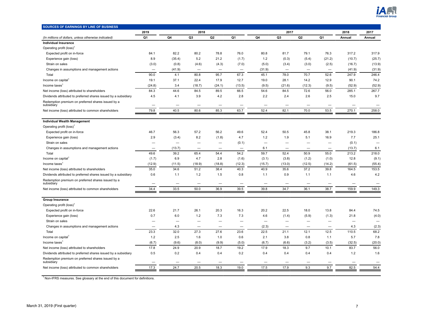

<span id="page-6-0"></span>

| SOURCES OF EARNINGS BY LINE OF BUSINESS                                                                               |                          |                          |                          |                          |        |                          |                                   |                |                          |        |                          |
|-----------------------------------------------------------------------------------------------------------------------|--------------------------|--------------------------|--------------------------|--------------------------|--------|--------------------------|-----------------------------------|----------------|--------------------------|--------|--------------------------|
|                                                                                                                       | 2019                     |                          | 2018                     |                          |        |                          | 2017                              |                |                          | 2018   | 2017                     |
| (In millions of dollars, unless otherwise indicated)                                                                  | Q <sub>1</sub>           | Q4                       | Q3                       | Q <sub>2</sub>           | Q1     | Q4                       | Q <sub>3</sub>                    | Q <sub>2</sub> | Q1                       | Annual | Annual                   |
| Individual Insurance                                                                                                  |                          |                          |                          |                          |        |                          |                                   |                |                          |        |                          |
| Operating profit (loss) <sup>1</sup>                                                                                  |                          |                          |                          |                          |        |                          |                                   |                |                          |        |                          |
| Expected profit on in-force                                                                                           | 84.1                     | 82.2                     | 80.2                     | 78.8                     | 76.0   | 80.8                     | 81.7                              | 79.1           | 76.3                     | 317.2  | 317.9                    |
| Experience gain (loss)                                                                                                | 8.9                      | (35.4)                   | 5.2                      | 21.2                     | (1.7)  | 1.2                      | (0.3)                             | (5.4)          | (21.2)                   | (10.7) | (25.7)                   |
| Strain on sales                                                                                                       | (3.0)                    | (0.8)                    | (4.6)                    | (4.3)                    | (7.0)  | (5.0)                    | (3.4)                             | (3.0)          | (2.5)                    | (16.7) | (13.9)                   |
| Changes in assumptions and management actions                                                                         |                          | (41.9)                   |                          |                          |        | (31.9)                   |                                   |                |                          | (41.9) | (31.9)                   |
| Total                                                                                                                 | 90.0                     | 4.1                      | 80.8                     | 95.7                     | 67.3   | 45.1                     | 78.0                              | 70.7           | 52.6                     | 247.9  | 246.4                    |
| Income on capital <sup>1</sup>                                                                                        | 19.1                     | 37.1                     | 22.4                     | 17.9                     | 12.7   | 19.0                     | 28.1                              | 14.2           | 12.9                     | 90.1   | 74.2                     |
| Income taxes                                                                                                          | (24.8)                   | 3.4                      | (18.7)                   | (24.1)                   | (13.5) | (9.5)                    | (21.6)                            | (12.3)         | (9.5)                    | (52.9) | (52.9)                   |
| Net income (loss) attributed to shareholders                                                                          | 84.3                     | 44.6                     | 84.5                     | 89.5                     | 66.5   | 54.6                     | 84.5                              | 72.6           | 56.0                     | 285.1  | 267.7                    |
| Dividends attributed to preferred shares issued by a subsidiary                                                       | 4.5                      | 4.1                      | 3.9                      | 4.2                      | 2.8    | 2.2                      | 2.4                               | 2.6            | 2.5                      | 15.0   | 9.7                      |
| Redemption premium on preferred shares issued by a<br>subsidiary                                                      | $\overline{\phantom{0}}$ |                          | $\overline{\phantom{0}}$ |                          | -      |                          | -                                 |                | $\overline{\phantom{0}}$ |        | $\overline{\phantom{0}}$ |
| Net income (loss) attributed to common shareholders                                                                   | 79.8                     | 40.5                     | 80.6                     | 85.3                     | 63.7   | 52.4                     | 82.1                              | 70.0           | 53.5                     | 270.1  | 258.0                    |
|                                                                                                                       |                          |                          |                          |                          |        |                          |                                   |                |                          |        |                          |
| <b>Individual Wealth Management</b>                                                                                   |                          |                          |                          |                          |        |                          |                                   |                |                          |        |                          |
| Operating profit (loss) <sup>1</sup>                                                                                  |                          | 56.3                     |                          |                          |        |                          |                                   |                | 38.1                     | 219.3  |                          |
| Expected profit on in-force                                                                                           | 46.7                     |                          | 57.2                     | 56.2                     | 49.6   | 52.4                     | 50.5                              | 45.8           |                          |        | 186.8                    |
| Experience gain (loss)                                                                                                | 2.9                      | (3.4)                    | 8.2                      | (1.8)                    | 4.7    | 1.2                      | 1.9                               | 5.1            | 16.9                     | 7.7    | 25.1                     |
| Strain on sales                                                                                                       |                          | $\overline{\phantom{0}}$ |                          | $\overline{\phantom{0}}$ | (0.1)  | $\overline{\phantom{0}}$ |                                   | -              |                          | (0.1)  |                          |
| Changes in assumptions and management actions                                                                         |                          | (13.7)                   |                          | $\overline{\phantom{0}}$ |        | 6.1                      | -                                 | —              | -                        | (13.7) | 6.1                      |
| Total                                                                                                                 | 49.6                     | 39.2                     | 65.4                     | 54.4                     | 54.2   | 59.7                     | 52.4                              | 50.9           | 55.0                     | 213.2  | 218.0                    |
| Income on capital <sup>1</sup>                                                                                        | (1.7)                    | 6.9                      | 4.7                      | 2.8                      | (1.6)  | (3.1)                    | (3.8)                             | (1.2)          | (1.0)                    | 12.8   | (9.1)                    |
| Income taxes <sup>1</sup>                                                                                             | (12.9)                   | (11.5)                   | (18.9)                   | (18.8)<br>38.4           | (12.3) | (15.7)<br>40.9           | (13.0)                            | (12.5)<br>37.2 | (14.2)<br>39.8           | (61.5) | (55.4)                   |
| Net income (loss) attributed to shareholders                                                                          | 35.0                     | 34.6                     | 51.2                     |                          | 40.3   | 1.1                      | 35.6                              | 1.1            |                          | 164.5  | 153.5                    |
| Dividends attributed to preferred shares issued by a subsidiary                                                       | 0.6                      | 1.1                      | 1.2                      | 1.5                      | 0.8    |                          | 0.9                               |                | 1.1                      | 4.6    | 4.2                      |
| Redemption premium on preferred shares issued by a<br>subsidiary                                                      |                          |                          | -                        |                          |        |                          |                                   |                |                          |        |                          |
| Net income (loss) attributed to common shareholders                                                                   | 34.4                     | 33.5                     | 50.0                     | 36.9                     | 39.5   | 39.8                     | 34.7                              | 36.1           | 38.7                     | 159.9  | 149.3                    |
| <b>Group Insurance</b>                                                                                                |                          |                          |                          |                          |        |                          |                                   |                |                          |        |                          |
| Operating profit (loss) <sup>1</sup>                                                                                  |                          |                          |                          |                          |        |                          |                                   |                |                          |        |                          |
| Expected profit on in-force                                                                                           | 22.6                     | 21.7                     | 26.1                     | 20.3                     | 16.3   | 20.2                     | 22.5                              | 18.0           | 13.8                     | 84.4   | 74.5                     |
|                                                                                                                       | 0.7                      | 6.0                      | 1.2                      | 7.3                      | 7.3    | 4.6                      |                                   |                | (1.3)                    | 21.8   | (4.0)                    |
| Experience gain (loss)<br>Strain on sales                                                                             |                          |                          |                          | $\overline{\phantom{0}}$ |        | $\overline{\phantom{0}}$ | (1.4)<br>$\overline{\phantom{0}}$ | (5.9)          | $\overline{\phantom{0}}$ |        |                          |
| Changes in assumptions and management actions                                                                         |                          | 4.3                      | $\overline{\phantom{0}}$ |                          | -      | (2.3)                    | $\overline{\phantom{0}}$          |                |                          | 4.3    | (2.3)                    |
| Total                                                                                                                 | 23.3                     | 32.0                     | 27.3                     | 27.6                     | 23.6   | 22.5                     | 21.1                              | 12.1           | 12.5                     | 110.5  | 68.2                     |
|                                                                                                                       | 1.2                      | 2.5                      | 1.6                      | 1.0                      | 0.6    | 2.1                      | 3.8                               | 0.8            | 1.1                      | 5.7    | 7.8                      |
| Income on capital<br>Income taxes $1$                                                                                 |                          |                          |                          |                          |        | (6.7)                    |                                   |                |                          |        |                          |
|                                                                                                                       | (6.7)                    | (9.6)                    | (8.0)                    | (9.9)                    | (5.0)  | 17.9                     | (6.6)                             | (3.2)          | (3.5)<br>10.1            | (32.5) | (20.0)                   |
| Net income (loss) attributed to shareholders                                                                          | 17.8                     | 24.9                     | 20.9                     | 18.7                     | 19.2   |                          | 18.3                              | 9.7            |                          | 83.7   | 56.0                     |
| Dividends attributed to preferred shares issued by a subsidiary<br>Redemption premium on preferred shares issued by a | 0.5                      | 0.2                      | 0.4                      | 0.4                      | 0.2    | 0.4                      | 0.4                               | 0.4            | 0.4                      | 1.2    | 1.6                      |
| subsidiary                                                                                                            |                          |                          |                          |                          |        |                          |                                   |                |                          |        |                          |
| Net income (loss) attributed to common shareholders                                                                   | 17.3                     | 24.7                     | 20.5                     | 18.3                     | 19.0   | 17.5                     | 17.9                              | 9.3            | 9.7                      | 82.5   | 54.4                     |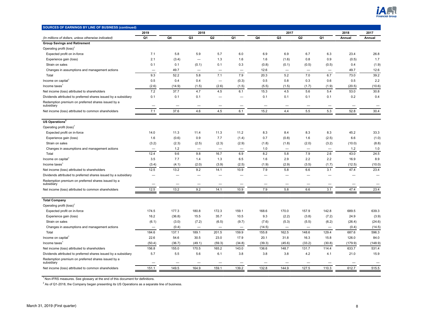

| SOURCES OF EARNINGS BY LINE OF BUSINESS (continued)              |                          |        |                          |                          |                          |        |                          |                          |                          |         |                          |
|------------------------------------------------------------------|--------------------------|--------|--------------------------|--------------------------|--------------------------|--------|--------------------------|--------------------------|--------------------------|---------|--------------------------|
|                                                                  | 2019                     |        | 2018                     |                          |                          |        | 2017                     |                          |                          | 2018    | 2017                     |
| (In millions of dollars, unless otherwise indicated)             | Q1                       | Q4     | Q3                       | Q <sub>2</sub>           | Q1                       | Q4     | Q3                       | Q <sub>2</sub>           | Q1                       | Annual  | Annual                   |
| <b>Group Savings and Retirement</b>                              |                          |        |                          |                          |                          |        |                          |                          |                          |         |                          |
| Operating profit (loss) <sup>1</sup>                             |                          |        |                          |                          |                          |        |                          |                          |                          |         |                          |
| Expected profit on in-force                                      | 7.1                      | 5.8    | 5.9                      | 5.7                      | 6.0                      | 6.9    | 6.9                      | 6.7                      | 6.3                      | 23.4    | 26.8                     |
| Experience gain (loss)                                           | 2.1                      | (3.4)  | $\overline{\phantom{0}}$ | 1.3                      | 1.6                      | 1.6    | (1.6)                    | 0.8                      | 0.9                      | (0.5)   | 1.7                      |
| Strain on sales                                                  | 0.1                      | 0.1    | (0.1)                    | 0.1                      | 0.3                      | (0.8)  | (0.1)                    | (0.5)                    | (0.5)                    | 0.4     | (1.9)                    |
| Changes in assumptions and management actions                    |                          | 49.7   |                          | $\overline{\phantom{0}}$ |                          | 12.6   |                          | $\overline{\phantom{m}}$ |                          | 49.7    | 12.6                     |
| Total                                                            | 9.3                      | 52.2   | 5.8                      | 7.1                      | 7.9                      | 20.3   | 5.2                      | 7.0                      | 6.7                      | 73.0    | 39.2                     |
| Income on capital                                                | 0.5                      | 0.4    | 0.4                      | $\qquad \qquad -$        | (0.3)                    | 0.5    | 0.8                      | 0.3                      | 0.6                      | 0.5     | 2.2                      |
| Income taxes <sup>1</sup>                                        | (2.6)                    | (14.9) | (1.5)                    | (2.6)                    | (1.5)                    | (5.5)  | (1.5)                    | (1.7)                    | (1.9)                    | (20.5)  | (10.6)                   |
| Net income (loss) attributed to shareholders                     | 7.2                      | 37.7   | 4.7                      | 4.5                      | 6.1                      | 15.3   | 4.5                      | 5.6                      | 5.4                      | 53.0    | 30.8                     |
| Dividends attributed to preferred shares issued by a subsidiary  | 0.1                      | 0.1    | 0.1                      | -                        | $\overline{\phantom{0}}$ | 0.1    | 0.1                      | 0.1                      | 0.1                      | 0.2     | 0.4                      |
| Redemption premium on preferred shares issued by a<br>subsidiary | $\overline{\phantom{0}}$ |        | $\overline{\phantom{0}}$ |                          |                          |        | $\overline{\phantom{0}}$ |                          |                          |         |                          |
| Net income (loss) attributed to common shareholders              | 7.1                      | 37.6   | 4.6                      | 4.5                      | 6.1                      | 15.2   | 4.4                      | 5.5                      | 5.3                      | 52.8    | 30.4                     |
|                                                                  |                          |        |                          |                          |                          |        |                          |                          |                          |         |                          |
| US Operations <sup>2</sup>                                       |                          |        |                          |                          |                          |        |                          |                          |                          |         |                          |
| Operating profit (loss) <sup>1</sup>                             |                          |        |                          |                          |                          |        |                          |                          |                          |         |                          |
| Expected profit on in-force                                      | 14.0                     | 11.3   | 11.4                     | 11.3                     | 11.2                     | 8.3    | 8.4                      | 8.3                      | 8.3                      | 45.2    | 33.3                     |
| Experience gain (loss)                                           | 1.6                      | (0.6)  | 0.9                      | 7.7                      | (1.4)                    | 0.7    | (0.8)                    | 1.6                      | (2.5)                    | 6.6     | (1.0)                    |
| Strain on sales                                                  | (3.2)                    | (2.3)  | (2.5)                    | (2.3)                    | (2.9)                    | (1.8)  | (1.8)                    | (2.0)                    | (3.2)                    | (10.0)  | (8.8)                    |
| Changes in assumptions and management actions                    | -                        | 1.2    | $\overline{\phantom{0}}$ |                          | -                        | 1.0    |                          | $\overline{\phantom{m}}$ | $\overline{\phantom{0}}$ | 1.2     | 1.0                      |
| Total                                                            | 12.4                     | 9.6    | 9.8                      | 16.7                     | 6.9                      | 8.2    | 5.8                      | 7.9                      | 2.6                      | 43.0    | 24.5                     |
| Income on capital <sup>1</sup>                                   | 3.5                      | 7.7    | 1.4                      | 1.3                      | 6.5                      | 1.6    | 2.9                      | 2.2                      | 2.2                      | 16.9    | 8.9                      |
| Income taxes                                                     | (3.4)                    | (4.1)  | (2.0)                    | (3.9)                    | (2.5)                    | (1.9)  | (2.9)                    | (3.5)                    | (1.7)                    | (12.5)  | (10.0)                   |
| Net income (loss) attributed to shareholders                     | 12.5                     | 13.2   | 9.2                      | 14.1                     | 10.9                     | 7.9    | 5.8                      | 6.6                      | 3.1                      | 47.4    | 23.4                     |
| Dividends attributed to preferred shares issued by a subsidiary  | $\overline{\phantom{0}}$ |        | -                        |                          |                          |        | -                        |                          |                          |         | $\overline{\phantom{0}}$ |
| Redemption premium on preferred shares issued by a<br>subsidiary |                          |        |                          |                          |                          |        |                          |                          |                          |         |                          |
| Net income (loss) attributed to common shareholders              | 12.5                     | 13.2   | 9.2                      | 14.1                     | 10.9                     | 7.9    | 5.8                      | 6.6                      | 3.1                      | 47.4    | 23.4                     |
|                                                                  |                          |        |                          |                          |                          |        |                          |                          |                          |         |                          |
| <b>Total Company</b>                                             |                          |        |                          |                          |                          |        |                          |                          |                          |         |                          |
| Operating profit (loss) <sup>1</sup>                             |                          |        |                          |                          |                          |        |                          |                          |                          |         |                          |
| Expected profit on in-force                                      | 174.5                    | 177.3  | 180.8                    | 172.3                    | 159.1                    | 168.6  | 170.0                    | 157.9                    | 142.8                    | 689.5   | 639.3                    |
| Experience gain (loss)                                           | 16.2                     | (36.8) | 15.5                     | 35.7                     | 10.5                     | 9.3    | (2.2)                    | (3.8)                    | (7.2)                    | 24.9    | (3.9)                    |
| Strain on sales                                                  | (6.1)                    | (3.0)  | (7.2)                    | (6.5)                    | (9.7)                    | (7.6)  | (5.3)                    | (5.5)                    | (6.2)                    | (26.4)  | (24.6)                   |
| Changes in assumptions and management actions                    |                          | (0.4)  | $\overline{\phantom{0}}$ | $\overline{\phantom{0}}$ |                          | (14.5) | -                        |                          |                          | (0.4)   | (14.5)                   |
| Total                                                            | 184.6                    | 137.1  | 189.1                    | 201.5                    | 159.9                    | 155.8  | 162.5                    | 148.6                    | 129.4                    | 687.6   | 596.3                    |
| Income on capital                                                | 22.6                     | 54.6   | 30.5                     | 23.0                     | 17.9                     | 20.1   | 31.8                     | 16.3                     | 15.8                     | 126.0   | 84.0                     |
| Income taxes                                                     | (50.4)                   | (36.7) | (49.1)                   | (59.3)                   | (34.8)                   | (39.3) | (45.6)                   | (33.2)                   | (30.8)                   | (179.9) | (148.9)                  |
| Net income (loss) attributed to shareholders                     | 156.8                    | 155.0  | 170.5                    | 165.2                    | 143.0                    | 136.6  | 148.7                    | 131.7                    | 114.4                    | 633.7   | 531.4                    |
| Dividends attributed to preferred shares issued by a subsidiary  | 5.7                      | 5.5    | 5.6                      | 6.1                      | 3.8                      | 3.8    | 3.8                      | 4.2                      | 4.1                      | 21.0    | 15.9                     |
| Redemption premium on preferred shares issued by a<br>subsidiary |                          |        | -                        |                          |                          |        |                          |                          |                          |         |                          |
| Net income (loss) attributed to common shareholders              | 151.1                    | 149.5  | 164.9                    | 159.1                    | 139.2                    | 132.8  | 144.9                    | 127.5                    | 110.3                    | 612.7   | 515.5                    |
|                                                                  |                          |        |                          |                          |                          |        |                          |                          |                          |         |                          |

 $2$  As of Q1-2018, the Company began presenting its US Operations as a separate line of business.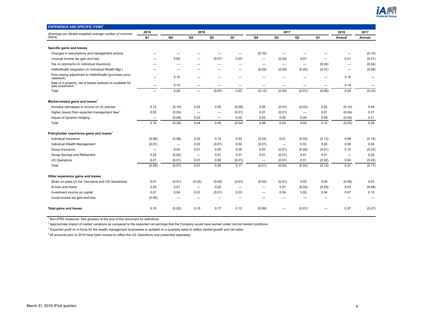

<span id="page-8-0"></span>

| <b>EXPERIENCE AND SPECIFIC ITEMS<sup>1</sup></b>                               |                          |                          |                                 |                          |                          |                          |                          |                          |        |                          |        |
|--------------------------------------------------------------------------------|--------------------------|--------------------------|---------------------------------|--------------------------|--------------------------|--------------------------|--------------------------|--------------------------|--------|--------------------------|--------|
| (Earnings per diluted weighted average number of common                        | 2019                     |                          | 2018                            |                          |                          |                          | 2017                     |                          |        | 2018                     | 2017   |
| share)                                                                         | Q1                       | Q4                       | Q <sub>3</sub>                  | Q2                       | Q <sub>1</sub>           | Q4                       | Q <sub>3</sub>           | Q2                       | Q1     | Annual                   | Annual |
|                                                                                |                          |                          |                                 |                          |                          |                          |                          |                          |        |                          |        |
| Specific gains and losses                                                      |                          |                          |                                 |                          |                          |                          |                          |                          |        |                          |        |
| Changes in assumptions and management actions                                  |                          |                          |                                 |                          |                          | (0.10)                   |                          |                          |        |                          | (0.10) |
| Unusual income tax gain and loss                                               |                          | 0.05                     | -                               | (0.07)                   | 0.03                     | $\overline{\phantom{0}}$ | (0.02)                   | 0.01                     |        | 0.01                     | (0.01) |
| Tax on premiums (in Individual Insurance)                                      |                          |                          |                                 |                          |                          | $\overline{\phantom{0}}$ |                          |                          | (0.04) |                          | (0.04) |
| HollisWealth integration (in Individual Wealth Mgt.)                           |                          |                          |                                 |                          | -                        | (0.02)                   | (0.03)                   | (0.02)                   | (0.01) | -                        | (0.08) |
| Post closing adjustment to HollisWealth (purchase price<br>clawback)           | -                        | 0.10                     | -                               | -                        | -                        | -                        |                          | -                        |        | 0.10                     | -      |
| Sale of a property, net of losses realized on available for<br>sale investment | -                        | 0.14                     | -                               | $\overline{\phantom{m}}$ | —                        | -                        | $\overline{\phantom{m}}$ |                          |        | 0.14                     | —      |
| Total                                                                          | $\overline{\phantom{0}}$ | 0.29                     | $\overline{\phantom{0}}$        | (0.07)                   | 0.03                     | (0.12)                   | (0.05)                   | (0.01)                   | (0.05) | 0.25                     | (0.23) |
| Market-related gains and losses <sup>2</sup>                                   |                          |                          |                                 |                          |                          |                          |                          |                          |        |                          |        |
| Increase (decrease) in income on UL policies                                   | 0.12                     | (0.16)                   | 0.02                            | 0.05                     | (0.05)                   | 0.05                     | (0.01)                   | (0.02)                   | 0.02   | (0.14)                   | 0.04   |
| Higher (lower) than expected management fees <sup>3</sup>                      | 0.03                     | (0.03)                   | -                               | -                        | (0.01)                   | 0.01                     | (0.01)                   | $\overline{\phantom{m}}$ | 0.01   | (0.04)                   | 0.01   |
| Impact of dynamic hedging                                                      | -                        | (0.09)                   | 0.02                            | —                        | 0.02                     | 0.03                     | 0.05                     | 0.04                     | 0.09   | (0.05)                   | 0.21   |
| Total                                                                          | 0.15                     | (0.28)                   | 0.04                            | 0.05                     | (0.04)                   | 0.09                     | 0.03                     | 0.02                     | 0.12   | (0.23)                   | 0.26   |
| Policyholder experience gains and losses <sup>4</sup>                          |                          |                          |                                 |                          |                          |                          |                          |                          |        |                          |        |
| Individual Insurance                                                           | (0.06)                   | (0.08)                   | 0.02                            | 0.10                     | 0.04                     | (0.04)                   | 0.01                     | (0.02)                   | (0.13) | 0.08                     | (0.18) |
| Individual Wealth Management                                                   | (0.01)                   | $\overline{\phantom{m}}$ | 0.03                            | (0.01)                   | 0.02                     | (0.01)                   | $\overline{\phantom{m}}$ | 0.02                     | 0.03   | 0.04                     | 0.04   |
| Group Insurance                                                                |                          | 0.04                     | 0.01                            | 0.05                     | 0.05                     | 0.03                     | (0.01)                   | (0.04)                   | (0.01) | 0.15                     | (0.03) |
| Group Savings and Retirement                                                   | 0.02                     | (0.02)                   |                                 | 0.01                     | 0.01                     | 0.01                     | (0.01)                   | 0.01                     | 0.01   | $\overline{\phantom{0}}$ | 0.02   |
| US Operations                                                                  | 0.01                     | (0.01)                   | 0.01                            | 0.05                     | (0.01)                   | $\overline{\phantom{0}}$ | (0.01)                   | 0.01                     | (0.02) | 0.04                     | (0.02) |
| Total                                                                          | (0.04)                   | (0.07)                   | 0.07                            | 0.20                     | 0.11                     | (0.01)                   | (0.02)                   | (0.02)                   | (0.12) | 0.31                     | (0.17) |
| Other experience gains and losses                                              |                          |                          |                                 |                          |                          |                          |                          |                          |        |                          |        |
| Strain on sales (in Ind. Insurance and US Operations)                          | 0.01                     | (0.01)                   | (0.02)                          | (0.02)                   | (0.01)                   | (0.02)                   | (0.01)                   | 0.02                     | 0.04   | (0.06)                   | 0.03   |
| iA Auto and Home                                                               | 0.02                     | 0.01                     | $\overbrace{\phantom{1232211}}$ | 0.02                     | $\overline{\phantom{0}}$ | $\overline{\phantom{0}}$ | 0.01                     | (0.04)                   | (0.03) | 0.03                     | (0.06) |
| Investment income on capital                                                   | 0.01                     | 0.04                     | 0.01                            | (0.01)                   | 0.03                     | $\overline{\phantom{0}}$ | 0.04                     | 0.02                     | 0.04   | 0.07                     | 0.10   |
| Usual income tax gain and loss                                                 | (0.05)                   |                          |                                 | -                        |                          |                          |                          |                          |        |                          |        |
| <b>Total gains and losses</b>                                                  | 0.10                     | (0.02)                   | 0.10                            | 0.17                     | 0.12                     | (0.06)                   | -                        | (0.01)                   |        | 0.37                     | (0.07) |

<sup>2</sup> Approximate impact of market variations as compared to the expected net earnings that the Company would have earned under normal market conditions.

 $3$  Expected profit on in-force for the wealth management businesses is updated on a quarterly basis to reflect market growth and net sales.

<sup>4</sup> All amounts prior to 2018 have been revised to reflect the US Operations now presented separately.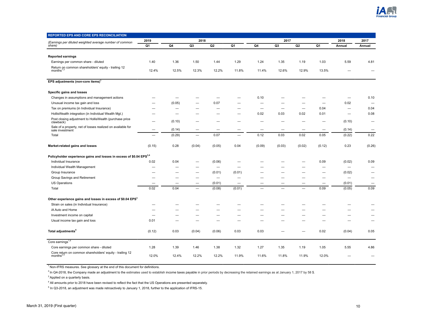

<span id="page-9-0"></span>

| REPORTED EPS AND CORE EPS RECONCILIATION                                        |                          |                          |                          |                          |                          |                          |                          |                          |                          |                          |        |
|---------------------------------------------------------------------------------|--------------------------|--------------------------|--------------------------|--------------------------|--------------------------|--------------------------|--------------------------|--------------------------|--------------------------|--------------------------|--------|
| (Earnings per diluted weighted average number of common                         | 2019                     |                          | 2018                     |                          |                          |                          | 2017                     |                          |                          | 2018                     | 2017   |
| share)                                                                          | Q1                       | Q4                       | Q <sub>3</sub>           | Q <sub>2</sub>           | Q1                       | Q4                       | Q3                       | Q2                       | Q1                       | Annual                   | Annual |
| <b>Reported earnings</b>                                                        |                          |                          |                          |                          |                          |                          |                          |                          |                          |                          |        |
| Earnings per common share - diluted                                             | 1.40                     | 1.36                     | 1.50                     | 1.44                     | 1.29                     | 1.24                     | 1.35                     | 1.19                     | 1.03                     | 5.59                     | 4.81   |
| Return on common shareholders' equity - trailing 12                             |                          |                          |                          |                          |                          |                          |                          |                          |                          |                          |        |
| months <sup>1</sup>                                                             | 12.4%                    | 12.5%                    | 12.3%                    | 12.2%                    | 11.8%                    | 11.4%                    | 12.6%                    | 12.9%                    | 13.5%                    |                          |        |
| EPS adjustments (non-core items) <sup>1</sup>                                   |                          |                          |                          |                          |                          |                          |                          |                          |                          |                          |        |
| Specific gains and losses                                                       |                          |                          |                          |                          |                          |                          |                          |                          |                          |                          |        |
| Changes in assumptions and management actions                                   | $\overline{\phantom{0}}$ | -                        |                          | —                        | -                        | 0.10                     | -                        |                          |                          | $\overline{\phantom{0}}$ | 0.10   |
| Unusual income tax gain and loss                                                |                          | (0.05)                   |                          | 0.07                     | -                        | -                        | -                        |                          |                          | 0.02                     |        |
| Tax on premiums (in Individual Insurance)                                       |                          | -                        |                          |                          | -                        | -                        |                          |                          | 0.04                     | -                        | 0.04   |
| HollisWealth integration (in Individual Wealth Mgt.)                            |                          | $\overline{\phantom{0}}$ |                          |                          | -                        | 0.02                     | 0.03                     | 0.02                     | 0.01                     | $\overline{\phantom{0}}$ | 0.08   |
| Post closing adjustment to HollisWealth (purchase price<br>clawback)            |                          | (0.10)                   |                          |                          |                          |                          |                          |                          |                          | (0.10)                   | -      |
| Sale of a property, net of losses realized on available for<br>sale investment  | -                        | (0.14)                   | $\overline{\phantom{0}}$ | —                        | -                        | $\overline{\phantom{0}}$ |                          |                          | —                        | (0.14)                   | -      |
| Total                                                                           |                          | (0.29)                   | $\overline{\phantom{0}}$ | 0.07                     | $\overline{\phantom{0}}$ | 0.12                     | 0.03                     | 0.02                     | 0.05                     | (0.22)                   | 0.22   |
| Market-related gains and losses                                                 | (0.15)                   | 0.28                     | (0.04)                   | (0.05)                   | 0.04                     | (0.09)                   | (0.03)                   | (0.02)                   | (0.12)                   | 0.23                     | (0.26) |
| Policyholder experience gains and losses in excess of \$0.04 EPS <sup>3,4</sup> |                          |                          |                          |                          |                          |                          |                          |                          |                          |                          |        |
| Individual Insurance                                                            | 0.02                     | 0.04                     | -                        | (0.06)                   |                          |                          |                          |                          | 0.09                     | (0.02)                   | 0.09   |
| Individual Wealth Management                                                    |                          | $\overline{\phantom{0}}$ | $\overline{\phantom{0}}$ | $\overline{\phantom{0}}$ | -                        |                          | -                        |                          | $\overline{\phantom{0}}$ | $\overline{\phantom{0}}$ |        |
| Group Insurance                                                                 |                          | -                        |                          | (0.01)                   | (0.01)                   |                          | -                        |                          | –                        | (0.02)                   |        |
| Group Savings and Retirement                                                    | -                        | -                        | $\overline{\phantom{0}}$ | $\overline{\phantom{0}}$ | -                        |                          | -                        | -                        | -                        | $\overline{\phantom{0}}$ |        |
| <b>US Operations</b>                                                            |                          | -                        | $\overline{\phantom{0}}$ | (0.01)                   | -                        | -                        | $\overline{\phantom{0}}$ | -                        | —                        | (0.01)                   | -      |
| Total                                                                           | 0.02                     | 0.04                     | $\overline{\phantom{0}}$ | (0.08)                   | (0.01)                   |                          | -                        | $\overline{\phantom{0}}$ | 0.09                     | (0.05)                   | 0.09   |
| Other experience gains and losses in excess of \$0.04 EPS <sup>3</sup>          |                          |                          |                          |                          |                          |                          |                          |                          |                          |                          |        |
| Strain on sales (in Individual Insurance)                                       |                          |                          |                          |                          |                          |                          |                          |                          |                          |                          |        |
| iA Auto and Home                                                                |                          |                          |                          |                          |                          |                          |                          |                          |                          |                          |        |
| Investment income on capital                                                    |                          | $\overline{\phantom{0}}$ |                          | -                        | -                        |                          | -                        |                          |                          |                          |        |
| Usual income tax gain and loss                                                  | 0.01                     |                          |                          |                          |                          |                          |                          |                          |                          |                          |        |
| Total adjustments <sup>4</sup>                                                  | (0.12)                   | 0.03                     | (0.04)                   | (0.06)                   | 0.03                     | 0.03                     |                          |                          | 0.02                     | (0.04)                   | 0.05   |
| Core earnings <sup>1,4</sup>                                                    |                          |                          |                          |                          |                          |                          |                          |                          |                          |                          |        |
| Core earnings per common share - diluted                                        | 1.28                     | 1.39                     | 1.46                     | 1.38                     | 1.32                     | 1.27                     | 1.35                     | 1.19                     | 1.05                     | 5.55                     | 4.86   |
| Core return on common shareholders' equity - trailing 12 months <sup>2,5</sup>  | 12.0%                    | 12.4%                    | 12.2%                    | 12.2%                    | 11.9%                    | 11.6%                    | 11.8%                    | 11.9%                    | 12.0%                    |                          |        |

 $^2$  In Q4-2018, the Company made an adjustment to the estimates used to establish income taxes payable in prior periods by decreasing the retained earnings as at January 1, 2017 by 58 \$.

<sup>3</sup> Applied on a quarterly basis.

4 All amounts prior to 2018 have been revised to reflect the fact that the US Operations are presented separately.

<sup>5</sup> In Q3-2018, an adjustment was made retroactively to January 1, 2018, further to the application of IFRS-15.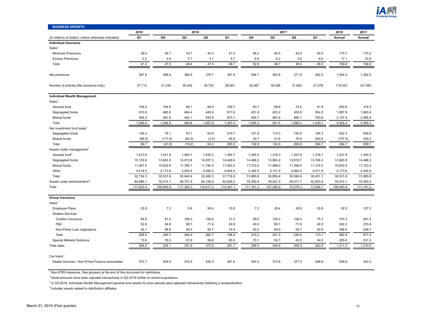

<span id="page-10-0"></span>

| <b>BUSINESS GROWTH</b>                               |           |           |                |                |           |           |                |                |          |           |           |
|------------------------------------------------------|-----------|-----------|----------------|----------------|-----------|-----------|----------------|----------------|----------|-----------|-----------|
|                                                      | 2019      | 2018      |                |                |           |           | 2017           |                |          | 2018      | 2017      |
| (In millions of dollars, unless otherwise indicated) | Q1        | Q4        | Q <sub>3</sub> | Q <sub>2</sub> | Q1        | Q4        | Q <sub>3</sub> | Q <sub>2</sub> | Q1       | Annual    | Annual    |
| <b>Individual Insurance</b>                          |           |           |                |                |           |           |                |                |          |           |           |
| Sales <sup>1</sup>                                   |           |           |                |                |           |           |                |                |          |           |           |
| Minimum Premiums                                     | 39.0      | 44.7      | 43.7           | 44.3           | 41.0      | 46.2      | 40.5           | 43.0           | 40.5     | 173.7     | 170.2     |
| <b>Excess Premiums</b>                               | 2.2       | 2.6       | 5.7            | 3.1            | 5.7       | 6.6       | 6.2            | 5.0            | 6.0      | 17.1      | 23.8      |
| Total                                                | 41.2      | 47.3      | 49.4           | 47.4           | 46.7      | 52.8      | 46.7           | 48.0           | 46.5     | 190.8     | 194.0     |
| Net premiums                                         | 387.8     | 399.4     | 384.5          | 378.7          | 391.8     | 394.7     | 363.8          | 371.8          | 362.2    | 1,554.4   | 1,492.5   |
| Number of policies (life insurance only)             | 27,713    | 31,230    | 30,442         | 30,720         | 26,941    | 32,067    | 30,436         | 31,602         | 27,478   | 119,333   | 121,583   |
| <b>Individual Wealth Management</b>                  |           |           |                |                |           |           |                |                |          |           |           |
| Sales <sup>1</sup>                                   |           |           |                |                |           |           |                |                |          |           |           |
| General fund                                         | 109.2     | 104.8     | 88.1           | 98.0           | 109.7     | 83.7      | 66.6           | 74.4           | 91.8     | 400.6     | 316.5     |
| Segregated funds                                     | 610.9     | 460.0     | 464.4          | 445.9          | 617.6     | 451.9     | 423.2          | 453.8          | 554.5    | 1,987.9   | 1,883.4   |
| Mutual funds                                         | 546.3     | 481.8     | 442.1          | 543.9          | 670.1     | 559.7     | 461.8          | 560.1          | 783.8    | 2,137.9   | 2,365.4   |
| Total                                                | 1,266.4   | 1,046.6   | 994.6          | 1,087.8        | 1,397.4   | 1,095.3   | 951.6          | 1,088.3        | 1,430.1  | 4,526.4   | 4,565.3   |
| Net investment fund sales <sup>1</sup>               |           |           |                |                |           |           |                |                |          |           |           |
| Segregated funds                                     | 145.2     | 76.1      | 63.1           | 63.4           | 219.7     | 101.9     | 113.3          | 130.0          | 164.7    | 422.3     | 509.9     |
| Mutual funds                                         | (88.5)    | (117.9)   | (82.3)         | (3.2)          | 45.8      | 30.7      | 21.6           | 76.9           | 200.0    | (157.6)   | 329.2     |
| Total                                                | 56.7      | (41.8)    | (19.2)         | 60.2           | 265.5     | 132.6     | 134.9          | 206.9          | 364.7    | 264.7     | 839.1     |
| Assets under management <sup>2</sup>                 |           |           |                |                |           |           |                |                |          |           |           |
| General fund <sup>3</sup>                            | 1,613.4   | 1,531.9   | 1,463.1        | 1,430.3        | 1,384.7   | 1,345.5   | 1,318.3        | 1,327.6        | 1,318.7  | 1,531.9   | 1,345.5   |
| Segregated funds                                     | 15,135.6  | 13,993.5  | 14,913.8       | 14,837.3       | 14,426.6  | 14,466.2  | 13,963.2       | 13,819.7       | 13,746.2 | 13,993.5  | 14,466.2  |
| Mutual funds                                         | 11,467.0  | 10,832.8  | 11,760.1       | 11,740.3       | 11,503.2  | 11,723.2  | 11,446.0       | 11,356.9       | 11,314.3 | 10,832.8  | 11,723.2  |
| Other                                                | 4,518.3   | 4,173.6   | 4,503.4        | 4,482.4        | 4,404.4   | 4,345.9   | 4,131.9        | 4,062.4        | 4,071.9  | 4,173.6   | 4,345.9   |
| Total                                                | 32,734.3  | 30,531.8  | 32,640.4       | 32,490.3       | 31,718.9  | 31,880.8  | 30,859.4       | 30,566.6       | 30,451.1 | 30,531.8  | 31,880.8  |
| Assets under administration <sup>4</sup>             | 84,899.1  | 78,414.1  | 84,751.9       | 84,126.9       | 82,628.2  | 79,300.4  | 76,421.5       | 44,011.7       | 42,833.6 | 78,414.1  | 79,300.4  |
| Total                                                | 117,633.4 | 108,945.9 | 117,392.3      | 116,617.2      | 114,347.1 | 111,181.2 | 107,280.9      | 74,578.3       | 73,284.7 | 108,945.9 | 111,181.2 |
| <b>Group Insurance</b>                               |           |           |                |                |           |           |                |                |          |           |           |
| Sales <sup>1</sup>                                   |           |           |                |                |           |           |                |                |          |           |           |
| <b>Employee Plans</b>                                | 25.9      | 7.2       | 9.4            | 56.4           | 19.5      | 7.2       | 35.4           | 28.9           | 35.8     | 92.5      | 107.3     |
| <b>Dealers Services</b>                              |           |           |                |                |           |           |                |                |          |           |           |
| Creditor Insurance                                   | 64.8      | 87.0      | 108.3          | 106.6          | 72.3      | 99.0      | 120.3          | 106.4          | 75.7     | 374.2     | 401.4     |
| P&C                                                  | 52.6      | 54.8      | 66.1           | 71.4           | 49.9      | 49.0      | 66.1           | 71.8           | 46.5     | 242.2     | 233.4     |
| Non-Prime Loan originations                          | 92.1      | 98.9      | 90.5           | 82.7           | 74.4      | 62.2      | 64.9           | 58.7           | 50.9     | 346.5     | 236.7     |
| Total                                                | 209.5     | 240.7     | 264.9          | 260.7          | 196.6     | 210.2     | 251.3          | 236.9          | 173.1    | 962.9     | 871.5     |
| <b>Special Markets Solutions</b>                     | 73.6      | 76.2      | 57.6           | 56.8           | 65.0      | 79.1      | 54.1           | 43.5           | 54.5     | 255.6     | 231.2     |
| <b>Total sales</b>                                   | 309.0     | 324.1     | 331.9          | 373.9          | 281.1     | 296.5     | 340.8          | 309.3          | 263.4    | 1,311.0   | 1,210.0   |
|                                                      |           |           |                |                |           |           |                |                |          |           |           |
| Car loans <sup>1</sup>                               |           |           |                |                |           |           |                |                |          |           |           |
| Dealer Services - Non-Prime Finance receivables      | 572.7     | 529.9     | 474.5          | 425.3          | 381.6     | 343.2     | 313.8          | 277.0          | 246.8    | 529.9     | 343.2     |

 $2$  Asset amounts have been adjusted retroactively in Q3-2018 further to recent acquisitions.

 $3$  In Q3-2018, Individual Wealth Management general fund assets for prior periods were adjusted retroactively following a reclassification.

<sup>4</sup> Includes assets related to distribution affiliates.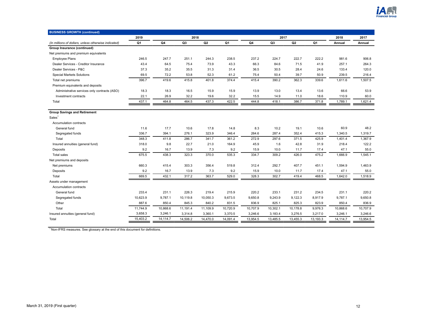

| <b>BUSINESS GROWTH (continued)</b>                   |          |          |          |                |                |          |                |          |                |          |          |
|------------------------------------------------------|----------|----------|----------|----------------|----------------|----------|----------------|----------|----------------|----------|----------|
|                                                      | 2019     |          | 2018     |                |                |          | 2017           |          |                | 2018     | 2017     |
| (In millions of dollars, unless otherwise indicated) | Q1       | Q4       | Q3       | Q <sub>2</sub> | Q <sub>1</sub> | Q4       | Q <sub>3</sub> | Q2       | Q <sub>1</sub> | Annual   | Annual   |
| Group Insurance (continued)                          |          |          |          |                |                |          |                |          |                |          |          |
| Net premiums and premium equivalents                 |          |          |          |                |                |          |                |          |                |          |          |
| <b>Employee Plans</b>                                | 246.5    | 247.7    | 251.1    | 244.3          | 238.5          | 237.2    | 224.7          | 222.7    | 222.2          | 981.6    | 906.8    |
| Dealer Services - Creditor Insurance                 | 43.4     | 64.5     | 75.4     | 73.9           | 43.3           | 66.3     | 84.6           | 71.5     | 41.9           | 257.1    | 264.3    |
| Dealer Services - P&C                                | 37.3     | 35.2     | 35.5     | 31.3           | 31.4           | 36.5     | 30.5           | 28.4     | 24.6           | 133.4    | 120.0    |
| Special Markets Solutions                            | 69.5     | 72.2     | 53.8     | 52.3           | 61.2           | 75.4     | 50.4           | 39.7     | 50.9           | 239.5    | 216.4    |
| Total net premiums                                   | 396.7    | 419.6    | 415.8    | 401.8          | 374.4          | 415.4    | 390.2          | 362.3    | 339.6          | 1,611.6  | 1,507.5  |
| Premium equivalents and deposits                     |          |          |          |                |                |          |                |          |                |          |          |
| Administrative services only contracts (ASO)         | 18.3     | 18.3     | 16.5     | 15.9           | 15.9           | 13.9     | 13.0           | 13.4     | 13.6           | 66.6     | 53.9     |
| Investment contracts                                 | 22.1     | 26.9     | 32.2     | 19.6           | 32.2           | 15.5     | 14.9           | 11.0     | 18.6           | 110.9    | 60.0     |
| Total                                                | 437.1    | 464.8    | 464.5    | 437.3          | 422.5          | 444.8    | 418.1          | 386.7    | 371.8          | 1,789.1  | 1,621.4  |
|                                                      |          |          |          |                |                |          |                |          |                |          |          |
| <b>Group Savings and Retirement</b>                  |          |          |          |                |                |          |                |          |                |          |          |
| Sales <sup>1</sup>                                   |          |          |          |                |                |          |                |          |                |          |          |
| Accumulation contracts                               |          |          |          |                |                |          |                |          |                |          |          |
| General fund                                         | 11.6     | 17.7     | 10.6     | 17.8           | 14.8           | 8.3      | 10.2           | 19.1     | 10.6           | 60.9     | 48.2     |
| Segregated funds                                     | 336.7    | 394.1    | 276.1    | 323.9          | 346.4          | 264.6    | 287.4          | 352.4    | 415.3          | 1,340.5  | 1,319.7  |
| Total                                                | 348.3    | 411.8    | 286.7    | 341.7          | 361.2          | 272.9    | 297.6          | 371.5    | 425.9          | 1,401.4  | 1,367.9  |
| Insured annuities (general fund)                     | 318.0    | 9.8      | 22.7     | 21.0           | 164.9          | 45.9     | 1.6            | 42.8     | 31.9           | 218.4    | 122.2    |
| Deposits                                             | 9.2      | 16.7     | 13.9     | 7.3            | 9.2            | 15.9     | 10.0           | 11.7     | 17.4           | 47.1     | 55.0     |
| <b>Total sales</b>                                   | 675.5    | 438.3    | 323.3    | 370.0          | 535.3          | 334.7    | 309.2          | 426.0    | 475.2          | 1,666.9  | 1,545.1  |
| Net premiums and deposits                            |          |          |          |                |                |          |                |          |                |          |          |
| Net premiums                                         | 660.3    | 415.4    | 303.3    | 356.4          | 519.8          | 312.4    | 292.7          | 407.7    | 451.1          | 1,594.9  | 1,463.9  |
| Deposits                                             | 9.2      | 16.7     | 13.9     | 7.3            | 9.2            | 15.9     | 10.0           | 11.7     | 17.4           | 47.1     | 55.0     |
| Total                                                | 669.5    | 432.1    | 317.2    | 363.7          | 529.0          | 328.3    | 302.7          | 419.4    | 468.5          | 1,642.0  | 1,518.9  |
| Assets under management                              |          |          |          |                |                |          |                |          |                |          |          |
| Accumulation contracts                               |          |          |          |                |                |          |                |          |                |          |          |
| General fund                                         | 233.4    | 231.1    | 226.3    | 219.4          | 215.9          | 220.2    | 233.1          | 231.2    | 234.5          | 231.1    | 220.2    |
| Segregated funds                                     | 10,623.9 | 9,787.1  | 10,119.8 | 10,050.3       | 9,673.5        | 9,650.8  | 9,243.9        | 9,122.3  | 8,917.9        | 9,787.1  | 9,650.8  |
| Other                                                | 887.6    | 850.4    | 845.3    | 840.2          | 831.5          | 836.9    | 825.1          | 825.3    | 823.9          | 850.4    | 836.9    |
| Total                                                | 11,744.9 | 10,868.6 | 11,191.4 | 11,109.9       | 10,720.9       | 10,707.9 | 10,302.1       | 10,178.8 | 9,976.3        | 10,868.6 | 10,707.9 |
| Insured annuities (general fund)                     | 3,658.3  | 3,246.1  | 3,314.8  | 3,360.1        | 3,370.5        | 3,246.6  | 3,183.4        | 3,276.5  | 3,217.0        | 3,246.1  | 3,246.6  |
| Total                                                | 15,403.2 | 14,114.7 | 14,506.2 | 14,470.0       | 14,091.4       | 13,954.5 | 13,485.5       | 13,455.3 | 13,193.3       | 14,114.7 | 13,954.5 |
|                                                      |          |          |          |                |                |          |                |          |                |          |          |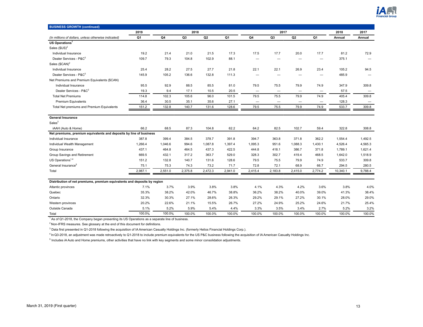

| <b>BUSINESS GROWTH (continued)</b>                                       |                |         |         |         |         |                          |                          |                |                          |          |                   |
|--------------------------------------------------------------------------|----------------|---------|---------|---------|---------|--------------------------|--------------------------|----------------|--------------------------|----------|-------------------|
|                                                                          | 2019           |         | 2018    |         |         |                          | 2017                     |                |                          | 2018     | 2017              |
| (In millions of dollars, unless otherwise indicated)                     | Q <sub>1</sub> | Q4      | Q3      | Q2      | Q1      | Q4                       | Q <sub>3</sub>           | Q <sub>2</sub> | Q <sub>1</sub>           | Annual   | Annual            |
| US Operations <sup>1</sup>                                               |                |         |         |         |         |                          |                          |                |                          |          |                   |
| Sales $$US)^2$                                                           |                |         |         |         |         |                          |                          |                |                          |          |                   |
| Individual Insurance                                                     | 19.2           | 21.4    | 21.0    | 21.5    | 17.3    | 17.5                     | 17.7                     | 20.0           | 17.7                     | 81.2     | 72.9              |
| Dealer Services - P&C <sup>3</sup>                                       | 109.7          | 79.3    | 104.8   | 102.9   | 88.1    |                          |                          |                | -                        | 375.1    |                   |
| Sales $(SCAN)^2$                                                         |                |         |         |         |         |                          |                          |                |                          |          |                   |
| Individual Insurance                                                     | 25.4           | 28.2    | 27.5    | 27.7    | 21.8    | 22.1                     | 22.1                     | 26.9           | 23.4                     | 105.2    | 94.5              |
| Dealer Services - P&C <sup>3</sup>                                       | 145.9          | 105.2   | 136.6   | 132.8   | 111.3   | -                        |                          | -              | -                        | 485.9    |                   |
| Net Premiums and Premium Equivalents (\$CAN)                             |                |         |         |         |         |                          |                          |                |                          |          |                   |
| Individual Insurance                                                     | 95.5           | 92.9    | 88.5    | 85.5    | 81.0    | 79.5                     | 75.5                     | 79.9           | 74.9                     | 347.9    | 309.8             |
| Dealer Services - P&C <sup>3</sup>                                       | 19.3           | 9.4     | 17.1    | 10.5    | 20.5    | —                        | $\overline{\phantom{0}}$ |                | -                        | 57.5     |                   |
| <b>Total Net Premiums</b>                                                | 114.8          | 102.3   | 105.6   | 96.0    | 101.5   | 79.5                     | 75.5                     | 79.9           | 74.9                     | 405.4    | 309.8             |
| Premium Equivalents                                                      | 36.4           | 30.5    | 35.1    | 35.6    | 27.1    | $\overline{\phantom{0}}$ | $\overline{\phantom{m}}$ | -              | $\overline{\phantom{m}}$ | 128.3    | $\qquad \qquad -$ |
| Total Net premiums and Premium Equivalents                               | 151.2          | 132.8   | 140.7   | 131.6   | 128.6   | 79.5                     | 75.5                     | 79.9           | 74.9                     | 533.7    | 309.8             |
| <b>General Insurance</b>                                                 |                |         |         |         |         |                          |                          |                |                          |          |                   |
| Sales <sup>2</sup>                                                       |                |         |         |         |         |                          |                          |                |                          |          |                   |
| iAAH (Auto & Home)                                                       | 66.2           | 68.5    | 87.3    | 104.8   | 62.2    | 64.2                     | 82.5                     | 102.7          | 59.4                     | 322.8    | 308.8             |
| Net premiums, premium equivalents and deposits by line of business       |                |         |         |         |         |                          |                          |                |                          |          |                   |
| Individual Insurance                                                     | 387.8          | 399.4   | 384.5   | 378.7   | 391.8   | 394.7                    | 363.8                    | 371.8          | 362.2                    | 1,554.4  | 1,492.5           |
| Individual Wealth Management                                             | 1.266.4        | 1,046.6 | 994.6   | 1,087.8 | 1,397.4 | 1,095.3                  | 951.6                    | 1,088.3        | 1,430.1                  | 4,526.4  | 4,565.3           |
| Group Insurance                                                          | 437.1          | 464.8   | 464.5   | 437.3   | 422.5   | 444.8                    | 418.1                    | 386.7          | 371.8                    | 1,789.1  | 1,621.4           |
| Group Savings and Retirement                                             | 669.5          | 432.1   | 317.2   | 363.7   | 529.0   | 328.3                    | 302.7                    | 419.4          | 468.5                    | 1,642.0  | 1,518.9           |
| US Operations <sup>1,4</sup>                                             | 151.2          | 132.8   | 140.7   | 131.6   | 128.6   | 79.5                     | 75.5                     | 79.9           | 74.9                     | 533.7    | 309.8             |
| General Insurance <sup>5</sup>                                           | 75.1           | 75.3    | 74.3    | 73.2    | 71.7    | 72.8                     | 72.1                     | 68.9           | 66.7                     | 294.5    | 280.5             |
| Total                                                                    | 2,987.1        | 2,551.0 | 2,375.8 | 2,472.3 | 2,941.0 | 2,415.4                  | 2,183.8                  | 2,415.0        | 2,774.2                  | 10,340.1 | 9,788.4           |
| Distribution of net premiums, premium equivalents and deposits by region |                |         |         |         |         |                          |                          |                |                          |          |                   |
| Atlantic provinces                                                       | 7.1%           | 3.7%    | 3.9%    | 3.8%    | 3.8%    | 4.1%                     | 4.3%                     | 4.2%           | 3.6%                     | 3.8%     | 4.0%              |
| Quebec                                                                   | 35.3%          | 38.2%   | 42.0%   | 46.7%   | 38.8%   | 36.2%                    | 38.2%                    | 40.0%          | 39.0%                    | 41.3%    | 38.4%             |
| Ontario                                                                  | 32.3%          | 30.3%   | 27.1%   | 28.6%   | 26.3%   | 29.2%                    | 29.1%                    | 27.2%          | 30.1%                    | 28.0%    | 29.0%             |
| Western provinces                                                        | 20.2%          | 22.6%   | 21.1%   | 15.5%   | 26.7%   | 27.2%                    | 24.9%                    | 25.2%          | 24.6%                    | 21.7%    | 25.4%             |
| Outside Canada                                                           | 5.1%           | 5.2%    | 5.9%    | 5.4%    | 4.4%    | 3.3%                     | 3.5%                     | 3.4%           | 2.7%                     | 5.2%     | 3.2%              |
|                                                                          | 100.0%         | 100.0%  | 100.0%  | 100.0%  | 100.0%  | 100.0%                   | 100.0%                   | 100.0%         | 100.0%                   | 100.0%   | 100.0%            |
| Total                                                                    |                |         |         |         |         |                          |                          |                |                          |          |                   |

<sup>1</sup> As of Q1-2018, the Company began presenting its US Operations as a separate line of business.

 $2$  Non-IFRS measures. See glossary at the end of this document for definitions.

<sup>3</sup> Data first presented in Q1-2018 following the acquisition of IA American Casualty Holdings Inc. (formerly Helios Financial Holdings Corp.).

<sup>4</sup>In Q3-2018, an adjustment was made retroactively to Q1-2018 to include premium equivalents for the US P&C business following the acquisition of IA American Casualty Holdings Inc.

<sup>5</sup> Includes iA Auto and Home premiums, other activities that have no link with key segments and some minor consolidation adjustments.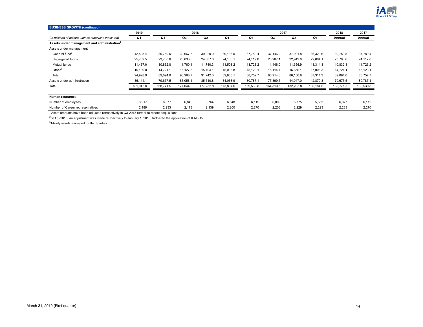

| <b>BUSINESS GROWTH (continued)</b>                      |           |           |           |           |           |           |           |                |           |           |           |
|---------------------------------------------------------|-----------|-----------|-----------|-----------|-----------|-----------|-----------|----------------|-----------|-----------|-----------|
|                                                         | 2019      |           | 2018      |           |           |           | 2017      |                |           | 2018      | 2017      |
| (In millions of dollars, unless otherwise indicated)    | Q1        | Q4        | Q3        | Q2        | Q1        | Q4        | Q3        | Q <sub>2</sub> | Q1        | Annual    | Annual    |
| Assets under management and administration <sup>1</sup> |           |           |           |           |           |           |           |                |           |           |           |
| Assets under management                                 |           |           |           |           |           |           |           |                |           |           |           |
| General fund <sup>2</sup>                               | 42,503.4  | 39,759.5  | 39,067.5  | 39,920.0  | 39,133.0  | 37,789.4  | 37,146.2  | 37,001.8       | 36,329.6  | 39,759.5  | 37,789.4  |
| Segregated funds                                        | 25,759.5  | 23,780.6  | 25,033.6  | 24,887.6  | 24,100.1  | 24,117.0  | 23,207.1  | 22,942.0       | 22,664.1  | 23,780.6  | 24,117.0  |
| Mutual funds                                            | 11,467.0  | 10,832.8  | 11,760.1  | 11,740.3  | 11,503.2  | 11,723.2  | 11,446.0  | 11,356.9       | 11,314.3  | 10,832.8  | 11,723.2  |
| Other $3$                                               | 15,199.0  | 14,721.1  | 15,127.5  | 15,194.1  | 15,096.8  | 15,123.1  | 15,114.7  | 16,856.1       | 17,006.3  | 14,721.1  | 15,123.1  |
| Total                                                   | 94,928.9  | 89,094.0  | 90,988.7  | 91,742.0  | 89,833.1  | 88,752.7  | 86.914.0  | 88,156.8       | 87,314.3  | 89,094.0  | 88,752.7  |
| Assets under administration                             | 86,114.1  | 79,677.5  | 86,056.1  | 85,510.8  | 84,063.9  | 80,787.1  | 77,899.5  | 44,047.0       | 42,870.3  | 79,677.5  | 80,787.1  |
| Total                                                   | 181,043.0 | 168,771.5 | 177,044.8 | 177,252.8 | 173,897.0 | 169,539.8 | 164,813.5 | 132,203.8      | 130,184.6 | 168,771.5 | 169,539.8 |
|                                                         |           |           |           |           |           |           |           |                |           |           |           |
| Human resources                                         |           |           |           |           |           |           |           |                |           |           |           |
| Number of employees                                     | 6,917     | 6,877     | 6,849     | 6,764     | 6,548     | 6,115     | 6,009     | 5,775          | 5,563     | 6,877     | 6,115     |
| Number of Career representatives                        | 2,189     | 2,233     | 2,173     | 2,139     | 2,200     | 2,270     | 2,203     | 2,229          | 2,223     | 2,233     | 2,270     |

<sup>1</sup> Asset amounts have been adjusted retroactively in Q3-2018 further to recent acquisitions.

<sup>2</sup> In Q3-2018, an adjustment was made retroactively to January 1, 2018, further to the application of IFRS-15.

<sup>3</sup> Mainly assets managed for third parties.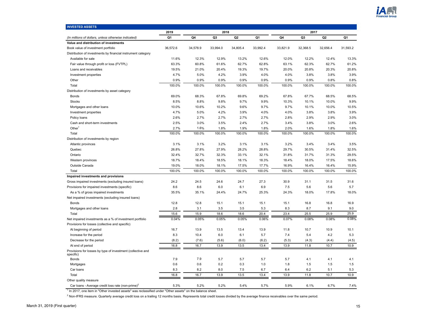

<span id="page-14-0"></span>

| <b>INVESTED ASSETS</b>                                                   |          |          |          |                |          |          |          |          |          |
|--------------------------------------------------------------------------|----------|----------|----------|----------------|----------|----------|----------|----------|----------|
|                                                                          | 2019     |          | 2018     |                |          |          | 2017     |          |          |
| (In millions of dollars, unless otherwise indicated)                     | Q1       | Q4       | Q3       | Q <sub>2</sub> | Q1       | Q4       | Q3       | Q2       | Q1       |
| Value and distribution of investments                                    |          |          |          |                |          |          |          |          |          |
| Book value of investment portfolio                                       | 36,572.6 | 34,578.9 | 33,994.0 | 34,805.4       | 33.992.4 | 33,821.9 | 32.368.5 | 32,656.4 | 31,593.2 |
| Distribution of investments by financial instrument category             |          |          |          |                |          |          |          |          |          |
| Available for sale                                                       | 11.6%    | 12.3%    | 12.9%    | 13.2%          | 12.6%    | 12.0%    | 12.2%    | 12.4%    | 13.3%    |
| Fair value through profit or loss (FVTPL)                                | 63.3%    | 60.8%    | 61.6%    | 62.7%          | 62.8%    | 63.1%    | 62.3%    | 62.7%    | 61.2%    |
| Loans and receivables                                                    | 19.5%    | 21.0%    | 20.4%    | 19.3%          | 19.7%    | 20.0%    | 20.8%    | 20.3%    | 20.8%    |
| Investment properties                                                    | 4.7%     | 5.0%     | 4.2%     | 3.9%           | 4.0%     | 4.0%     | 3.8%     | 3.8%     | 3.9%     |
| Other                                                                    | 0.9%     | 0.9%     | 0.9%     | 0.9%           | 0.9%     | 0.9%     | 0.9%     | 0.8%     | 0.8%     |
| Total                                                                    | 100.0%   | 100.0%   | 100.0%   | 100.0%         | 100.0%   | 100.0%   | 100.0%   | 100.0%   | 100.0%   |
| Distribution of investments by asset category                            |          |          |          |                |          |          |          |          |          |
| <b>Bonds</b>                                                             | 69.0%    | 68.3%    | 67.8%    | 69.8%          | 69.2%    | 67.8%    | 67.7%    | 68.5%    | 68.5%    |
| <b>Stocks</b>                                                            | 8.5%     | 8.8%     | 9.8%     | 9.7%           | 9.9%     | 10.3%    | 10.1%    | 10.0%    | 9.9%     |
| Mortgages and other loans                                                | 10.0%    | 10.6%    | 10.2%    | 9.6%           | 9.7%     | 9.7%     | 10.1%    | 10.0%    | 10.5%    |
| Investment properties                                                    | 4.7%     | 5.0%     | 4.2%     | 3.9%           | 4.0%     | 4.0%     | 3.8%     | 3.8%     | 3.9%     |
| Policy loans                                                             | 2.6%     | 2.7%     | 2.7%     | 2.7%           | 2.7%     | 2.8%     | 2.9%     | 2.9%     | 3.0%     |
| Cash and short-term investments                                          | 2.5%     | 3.0%     | 3.5%     | 2.4%           | 2.7%     | 3.4%     | 3.8%     | 3.0%     | 2.6%     |
| Other <sup>1</sup>                                                       | 2.7%     | 1.6%     | 1.8%     | 1.9%           | 1.8%     | 2.0%     | 1.6%     | 1.8%     | 1.6%     |
| Total                                                                    | 100.0%   | 100.0%   | 100.0%   | 100.0%         | 100.0%   | 100.0%   | 100.0%   | 100.0%   | 100.0%   |
| Distribution of investments by region                                    |          |          |          |                |          |          |          |          |          |
| Atlantic provinces                                                       | 3.1%     | 3.1%     | 3.2%     | 3.1%           | 3.1%     | 3.2%     | 3.4%     | 3.4%     | 3.5%     |
| Quebec                                                                   | 26.8%    | 27.8%    | 27.9%    | 28.2%          | 28.8%    | 29.7%    | 30.5%    | 31.4%    | 32.5%    |
| Ontario                                                                  | 32.4%    | 32.7%    | 32.3%    | 33.1%          | 32.1%    | 31.8%    | 31.7%    | 31.3%    | 29.5%    |
| Western provinces                                                        | 18.7%    | 18.4%    | 18.5%    | 18.1%          | 18.3%    | 18.4%    | 18.0%    | 17.5%    | 18.6%    |
| Outside Canada                                                           | 19.0%    | 18.0%    | 18.1%    | 17.5%          | 17.7%    | 16.9%    | 16.4%    | 16.4%    | 15.9%    |
| Total                                                                    | 100.0%   | 100.0%   | 100.0%   | 100.0%         | 100.0%   | 100.0%   | 100.0%   | 100.0%   | 100.0%   |
| Impaired investments and provisions                                      |          |          |          |                |          |          |          |          |          |
| Gross impaired investments (excluding insured loans)                     | 24.2     | 24.5     | 24.6     | 24.7           | 27.3     | 30.9     | 31.1     | 31.5     | 31.6     |
| Provisions for impaired investments (specific)                           | 8.6      | 8.6      | $6.0\,$  | 6.1            | 6.9      | 7.5      | 5.6      | 5.6      | 5.7      |
| As a % of gross impaired investments                                     | 35.5%    | 35.1%    | 24.4%    | 24.7%          | 25.3%    | 24.3%    | 18.0%    | 17.8%    | 18.0%    |
| Net impaired investments (excluding insured loans)                       |          |          |          |                |          |          |          |          |          |
| <b>Bonds</b>                                                             | 12.8     | 12.8     | 15.1     | 15.1           | 15.1     | 15.1     | 16.8     | 16.8     | 16.9     |
| Mortgages and other loans                                                | 2.8      | 3.1      | 3.5      | 3.5            | 5.3      | 8.3      | 8.7      | 9.1      | 9.0      |
| Total                                                                    | 15.6     | 15.9     | 18.6     | 18.6           | 20.4     | 23.4     | 25.5     | 25.9     | 25.9     |
| Net impaired investments as a % of investment portfolio                  | 0.04%    | 0.05%    | 0.05%    | 0.05%          | 0.06%    | 0.07%    | 0.08%    | 0.08%    | 0.08%    |
| Provisions for losses (collective and specific)                          |          |          |          |                |          |          |          |          |          |
| At beginning of period                                                   | 16.7     | 13.9     | 13.5     | 13.4           | 13.9     | 11.8     | 10.7     | 10.9     | 10.1     |
| Increase for the period                                                  | 8.3      | 10.4     | 6.0      | 6.1            | 5.7      | 7.4      | 5.4      | 4.2      | 5.3      |
| Decrease for the period                                                  | (8.2)    | (7.6)    | (5.6)    | (6.0)          | (6.2)    | (5.3)    | (4.3)    | (4.4)    | (4.5)    |
| At end of period                                                         | 16.8     | 16.7     | 13.9     | 13.5           | 13.4     | 13.9     | 11.8     | 10.7     | 10.9     |
| Provisions for losses by type of investment (collective and<br>specific) |          |          |          |                |          |          |          |          |          |
| <b>Bonds</b>                                                             | 7.9      | 7.9      | 5.7      | 5.7            | 5.7      | 5.7      | 4.1      | 4.1      | 4.1      |
| Mortgages                                                                | 0.6      | 0.6      | 0.2      | 0.3            | 1.0      | 1.8      | 1.5      | 1.5      | 1.5      |
| Car loans                                                                | 8.3      | 8.2      | 8.0      | 7.5            | 6.7      | 6.4      | 6.2      | 5.1      | 5.3      |
| Total                                                                    | 16.8     | 16.7     | 13.9     | 13.5           | 13.4     | 13.9     | 11.8     | 10.7     | 10.9     |
| Other quality measure                                                    |          |          |          |                |          |          |          |          |          |
| Car loans - Average credit loss rate (non-prime) <sup>2</sup>            | 5.3%     | 5.2%     | 5.2%     | 5.4%           | 5.7%     | 5.9%     | 6.1%     | 6.7%     | 7.4%     |

<sup>1</sup> In 2017, one item in "Other invested assets" was reclassified under "Other assets" on the balance sheet.

<sup>2</sup> Non-IFRS measure. Quarterly average credit loss on a trailing 12 months basis. Represents total credit losses divided by the average finance receivables over the same period.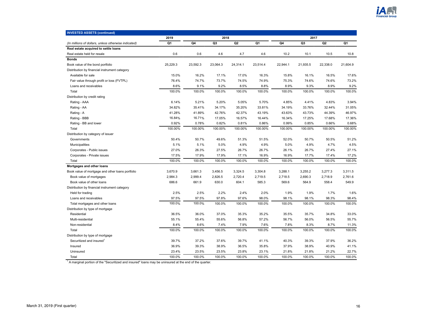

| <b>INVESTED ASSETS (continued)</b>                   |          |          |          |                |          |          |                |                |          |
|------------------------------------------------------|----------|----------|----------|----------------|----------|----------|----------------|----------------|----------|
|                                                      | 2019     |          | 2018     |                |          |          | 2017           |                |          |
| (In millions of dollars, unless otherwise indicated) | Q1       | Q4       | Q3       | Q <sub>2</sub> | Q1       | Q4       | Q <sub>3</sub> | Q <sub>2</sub> | Q1       |
| Real estate acquired to settle loans                 |          |          |          |                |          |          |                |                |          |
| Real estate held for resale                          | 0.6      | 0.6      | 4.6      | 4.7            | 4.6      | 10.2     | 10.1           | 10.5           | 10.8     |
| <b>Bonds</b>                                         |          |          |          |                |          |          |                |                |          |
| Book value of the bond portfolio                     | 25,229.3 | 23,592.3 | 23,064.3 | 24,314.1       | 23,514.4 | 22,944.1 | 21,935.5       | 22,338.0       | 21.604.9 |
| Distribution by financial instrument category        |          |          |          |                |          |          |                |                |          |
| Available for sale                                   | 15.0%    | 16.2%    | 17.1%    | 17.0%          | 16.3%    | 15.8%    | 16.1%          | 16.5%          | 17.6%    |
| Fair value through profit or loss (FVTPL)            | 76.4%    | 74.7%    | 73.7%    | 74.5%          | 74.9%    | 75.3%    | 74.6%          | 74.6%          | 73.2%    |
| Loans and receivables                                | 8.6%     | 9.1%     | 9.2%     | 8.5%           | 8.8%     | 8.9%     | 9.3%           | 8.9%           | 9.2%     |
| Total                                                | 100.0%   | 100.0%   | 100.0%   | 100.0%         | 100.0%   | 100.0%   | 100.0%         | 100.0%         | 100.0%   |
| Distribution by credit rating                        |          |          |          |                |          |          |                |                |          |
| Rating - AAA                                         | 6.14%    | 5.21%    | 5.20%    | 5.05%          | 5.70%    | 4.85%    | 4.41%          | 4.83%          | 3.94%    |
| Rating - AA                                          | 34.82%   | 35.41%   | 34.17%   | 35.20%         | 33.81%   | 34.19%   | 33.76%         | 32.44%         | 31.05%   |
| Rating - A                                           | 41.28%   | 41.89%   | 42.76%   | 42.37%         | 43.19%   | 43.63%   | 43.73%         | 44.39%         | 46.97%   |
| Rating - BBB                                         | 16.84%   | 16.71%   | 17.05%   | 16.57%         | 16.44%   | 16.34%   | 17.25%         | 17.68%         | 17.36%   |
| Rating - BB and lower                                | 0.92%    | 0.78%    | 0.82%    | 0.81%          | 0.86%    | 0.99%    | 0.85%          | 0.66%          | 0.68%    |
| Total                                                | 100.00%  | 100.00%  | 100.00%  | 100.00%        | 100.00%  | 100.00%  | 100.00%        | 100.00%        | 100.00%  |
| Distribution by category of issuer                   |          |          |          |                |          |          |                |                |          |
| Governments                                          | 50.4%    | 50.7%    | 49.6%    | 51.3%          | 51.5%    | 52.0%    | 50.7%          | 50.5%          | 51.2%    |
| Municipalities                                       | 5.1%     | 5.1%     | 5.0%     | 4.9%           | 4.9%     | 5.0%     | 4.9%           | 4.7%           | 4.5%     |
| Corporates - Public issues                           | 27.0%    | 26.3%    | 27.5%    | 26.7%          | 26.7%    | 26.1%    | 26.7%          | 27.4%          | 27.1%    |
| Corporates - Private issues                          | 17.5%    | 17.9%    | 17.9%    | 17.1%          | 16.9%    | 16.9%    | 17.7%          | 17.4%          | 17.2%    |
| Total                                                | 100.0%   | 100.0%   | 100.0%   | 100.0%         | 100.0%   | 100.0%   | 100.0%         | 100.0%         | 100.0%   |
| Mortgages and other loans                            |          |          |          |                |          |          |                |                |          |
| Book value of mortgage and other loans portfolio     | 3,670.9  | 3,661.3  | 3,456.5  | 3,324.5        | 3,304.8  | 3,288.1  | 3,255.2        | 3,277.3        | 3,311.5  |
| Book value of mortgages                              | 2,984.3  | 2,999.4  | 2,826.5  | 2,720.4        | 2,719.5  | 2,718.5  | 2,690.3        | 2,718.9        | 2,761.6  |
| Book value of other loans                            | 686.6    | 661.9    | 630.0    | 604.1          | 585.3    | 569.6    | 564.9          | 558.4          | 549.9    |
| Distribution by financial instrument category        |          |          |          |                |          |          |                |                |          |
| Held for trading                                     | 2.5%     | 2.5%     | 2.2%     | 2.4%           | 2.0%     | 1.9%     | 1.9%           | 1.7%           | 1.6%     |
| Loans and receivables                                | 97.5%    | 97.5%    | 97.8%    | 97.6%          | 98.0%    | 98.1%    | 98.1%          | 98.3%          | 98.4%    |
| Total mortgages and other loans                      | 100.0%   | 100.0%   | 100.0%   | 100.0%         | 100.0%   | 100.0%   | 100.0%         | 100.0%         | 100.0%   |
| Distribution by type of mortgage                     |          |          |          |                |          |          |                |                |          |
| Residential                                          | 36.5%    | 36.0%    | 37.0%    | 35.3%          | 35.2%    | 35.5%    | 35.7%          | 34.8%          | 33.0%    |
| Multi-residential                                    | 55.1%    | 55.4%    | 55.6%    | 56.8%          | 57.2%    | 56.7%    | 56.0%          | 56.5%          | 55.7%    |
| Non-residential                                      | 8.4%     | 8.6%     | 7.4%     | 7.9%           | 7.6%     | 7.8%     | 8.3%           | 8.7%           | 11.3%    |
| Total                                                | 100.0%   | 100.0%   | 100.0%   | 100.0%         | 100.0%   | 100.0%   | 100.0%         | 100.0%         | 100.0%   |
| Distribution by type of mortgage                     |          |          |          |                |          |          |                |                |          |
| Securitized and insured                              | 39.7%    | 37.2%    | 37.6%    | 39.7%          | 41.1%    | 40.3%    | 39.3%          | 37.9%          | 36.2%    |
| Insured                                              | 36.9%    | 39.3%    | 38.9%    | 36.5%          | 35.8%    | 37.9%    | 38.9%          | 40.9%          | 41.1%    |
| Uninsured                                            | 23.4%    | 23.5%    | 23.5%    | 23.8%          | 23.1%    | 21.8%    | 21.8%          | 21.2%          | 22.7%    |
| Total                                                | 100.0%   | 100.0%   | 100.0%   | 100.0%         | 100.0%   | 100.0%   | 100.0%         | 100.0%         | 100.0%   |

<sup>1</sup> A marginal portion of the "Securitized and insured" loans may be uninsured at the end of the quarter.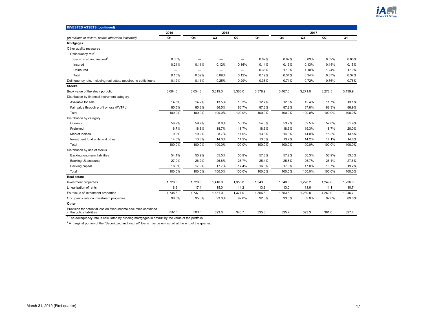

| <b>INVESTED ASSETS (continued)</b>                                                             |                          |                          |         |                   |         |         |         |                |         |
|------------------------------------------------------------------------------------------------|--------------------------|--------------------------|---------|-------------------|---------|---------|---------|----------------|---------|
|                                                                                                | 2019                     |                          | 2018    |                   |         |         | 2017    |                |         |
| (In millions of dollars, unless otherwise indicated)                                           | Q1                       | Q4                       | Q3      | Q <sub>2</sub>    | Q1      | Q4      | Q3      | Q <sub>2</sub> | Q1      |
| <b>Mortgages</b>                                                                               |                          |                          |         |                   |         |         |         |                |         |
| Other quality measures                                                                         |                          |                          |         |                   |         |         |         |                |         |
| Delinquency rate <sup>1</sup>                                                                  |                          |                          |         |                   |         |         |         |                |         |
| Securitized and insured <sup>2</sup>                                                           | 0.05%                    | -                        |         | -                 | 0.07%   | 0.02%   | 0.03%   | 0.02%          | 0.05%   |
| Insured                                                                                        | 0.21%                    | 0.11%                    | 0.12%   | 0.16%             | 0.14%   | 0.13%   | 0.13%   | 0.14%          | 0.15%   |
| Uninsured                                                                                      | $\overline{\phantom{0}}$ | $\overline{\phantom{0}}$ | -       | $\qquad \qquad -$ | 0.36%   | 1.10%   | 1.10%   | 1.24%          | 1.10%   |
| Total                                                                                          | 0.10%                    | 0.09%                    | 0.09%   | 0.12%             | 0.19%   | 0.34%   | 0.34%   | 0.37%          | 0.37%   |
| Delinquency rate, including real estate acquired to settle loans                               | 0.12%                    | 0.11%                    | 0.25%   | 0.29%             | 0.36%   | 0.71%   | 0.72%   | 0.76%          | 0.76%   |
| <b>Stocks</b>                                                                                  |                          |                          |         |                   |         |         |         |                |         |
| Book value of the stock portfolio                                                              | 3,094.5                  | 3,054.8                  | 3,319.3 | 3,363.0           | 3,378.9 | 3,467.0 | 3,271.0 | 3,278.5        | 3,139.9 |
| Distribution by financial instrument category                                                  |                          |                          |         |                   |         |         |         |                |         |
| Available for sale                                                                             | 14.5%                    | 14.2%                    | 13.5%   | 13.3%             | 12.7%   | 12.8%   | 12.4%   | 11.7%          | 13.1%   |
| Fair value through profit or loss (FVTPL)                                                      | 85.5%                    | 85.8%                    | 86.5%   | 86.7%             | 87.3%   | 87.2%   | 87.6%   | 88.3%          | 86.9%   |
| Total                                                                                          | 100.0%                   | 100.0%                   | 100.0%  | 100.0%            | 100.0%  | 100.0%  | 100.0%  | 100.0%         | 100.0%  |
| Distribution by category                                                                       |                          |                          |         |                   |         |         |         |                |         |
| Common                                                                                         | 58.9%                    | 59.7%                    | 58.6%   | 56.1%             | 54.3%   | 53.7%   | 52.5%   | 52.0%          | 51.9%   |
| Preferred                                                                                      | 16.7%                    | 16.3%                    | 18.7%   | 18.7%             | 18.3%   | 18.3%   | 19.3%   | 18.7%          | 20.0%   |
| Market indices                                                                                 | 9.9%                     | 10.2%                    | 8.7%    | 11.0%             | 13.8%   | 14.3%   | 14.0%   | 15.2%          | 13.5%   |
| Investment fund units and other                                                                | 14.5%                    | 13.8%                    | 14.0%   | 14.2%             | 13.6%   | 13.7%   | 14.2%   | 14.1%          | 14.6%   |
| Total                                                                                          | 100.0%                   | 100.0%                   | 100.0%  | 100.0%            | 100.0%  | 100.0%  | 100.0%  | 100.0%         | 100.0%  |
| Distribution by use of stocks                                                                  |                          |                          |         |                   |         |         |         |                |         |
| Backing long-term liabilities                                                                  | 54.1%                    | 55.9%                    | 55.5%   | 55.9%             | 57.8%   | 57.2%   | 56.3%   | 56.9%          | 53.3%   |
| Backing UL accounts                                                                            | 27.9%                    | 26.2%                    | 26.8%   | 26.7%             | 25.4%   | 25.8%   | 26.7%   | 26.4%          | 27.5%   |
| Backing capital                                                                                | 18.0%                    | 17.9%                    | 17.7%   | 17.4%             | 16.8%   | 17.0%   | 17.0%   | 16.7%          | 19.2%   |
| Total                                                                                          | 100.0%                   | 100.0%                   | 100.0%  | 100.0%            | 100.0%  | 100.0%  | 100.0%  | 100.0%         | 100.0%  |
| <b>Real estate</b>                                                                             |                          |                          |         |                   |         |         |         |                |         |
| Investment properties                                                                          | 1,720.5                  | 1,720.5                  | 1,416.0 | 1,356.8           | 1,343.0 | 1,340.8 | 1,228.2 | 1,249.8        | 1,236.0 |
| Linearization of rents                                                                         | 18.3                     | 17.4                     | 15.0    | 14.2              | 13.8    | 13.0    | 11.6    | 11.1           | 10.7    |
| Fair value of investment properties                                                            | 1,738.8                  | 1,737.9                  | 1,431.0 | 1,371.0           | 1,356.8 | 1,353.8 | 1,239.8 | 1,260.9        | 1,246.7 |
| Occupancy rate on investment properties                                                        | 96.0%                    | 95.0%                    | 93.0%   | 92.0%             | 92.0%   | 93.0%   | 89.0%   | 92.0%          | 89.5%   |
| Other                                                                                          |                          |                          |         |                   |         |         |         |                |         |
| Provision for potential loss on fixed-income securities contained<br>in the policy liabilities | 332.5                    | 289.6                    | 323.0   | 346.7             | 335.3   | 335.7   | 323.3   | 361.0          | 327.4   |

<sup>1</sup> The delinquency rate is calculated by dividing mortgages in default by the value of the portfolio.

 $2$  A marginal portion of the "Securitized and insured" loans may be uninsured at the end of the quarter.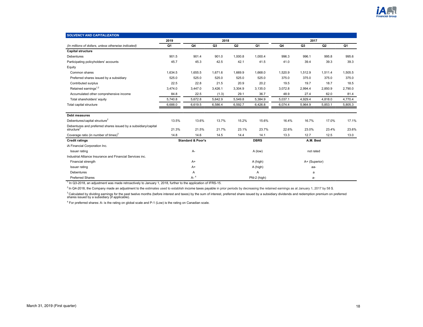

<span id="page-17-0"></span>

| <b>SOLVENCY AND CAPITALIZATION</b>                                                       |         |                              |                |                |              |         |               |                |         |
|------------------------------------------------------------------------------------------|---------|------------------------------|----------------|----------------|--------------|---------|---------------|----------------|---------|
|                                                                                          | 2019    |                              | 2018           |                |              |         | 2017          |                |         |
| (In millions of dollars, unless otherwise indicated)                                     | Q1      | Q4                           | Q <sub>3</sub> | Q <sub>2</sub> | Q1           | Q4      | Q3            | Q <sub>2</sub> | Q1      |
| <b>Capital structure</b>                                                                 |         |                              |                |                |              |         |               |                |         |
| <b>Debentures</b>                                                                        | 901.5   | 901.4                        | 901.0          | 1.000.8        | 1,000.4      | 996.3   | 996.1         | 995.8          | 995.6   |
| Participating policyholders' accounts                                                    | 45.7    | 45.3                         | 42.5           | 42.1           | 41.5         | 41.0    | 39.4          | 39.3           | 39.3    |
| Equity                                                                                   |         |                              |                |                |              |         |               |                |         |
| Common shares                                                                            | 1,634.5 | 1,655.5                      | 1,671.6        | 1,669.9        | 1,668.0      | 1,520.9 | 1,512.9       | 1,511.4        | 1,505.5 |
| Preferred shares issued by a subsidiary                                                  | 525.0   | 525.0                        | 525.0          | 525.0          | 525.0        | 375.0   | 375.0         | 375.0          | 375.0   |
| Contributed surplus                                                                      | 22.5    | 22.8                         | 21.5           | 20.9           | 20.2         | 19.5    | 19.7          | 18.7           | 18.5    |
| Retained earnings <sup>1,2</sup>                                                         | 3,474.0 | 3,447.0                      | 3,426.1        | 3,304.9        | 3,135.0      | 3,072.8 | 2,994.4       | 2,850.9        | 2,790.0 |
| Accumulated other comprehensive income                                                   | 84.8    | 22.5                         | (1.3)          | 29.1           | 36.7         | 48.9    | 27.4          | 62.0           | 81.4    |
| Total shareholders' equity                                                               | 5,740.8 | 5,672.8                      | 5,642.9        | 5,549.8        | 5,384.9      | 5,037.1 | 4,929.4       | 4,818.0        | 4,770.4 |
| Total capital structure                                                                  | 6,688.0 | 6,619.5                      | 6,586.4        | 6,592.7        | 6,426.8      | 6,074.4 | 5,964.9       | 5,853.1        | 5,805.3 |
|                                                                                          |         |                              |                |                |              |         |               |                |         |
| <b>Debt measures</b>                                                                     |         |                              |                |                |              |         |               |                |         |
| Debentures/capital structure <sup>2</sup>                                                | 13.5%   | 13.6%                        | 13.7%          | 15.2%          | 15.6%        | 16.4%   | 16.7%         | 17.0%          | 17.1%   |
| Debentures and preferred shares issued by a subsidiary/capital<br>structure <sup>2</sup> | 21.3%   | 21.5%                        | 21.7%          | 23.1%          | 23.7%        | 22.6%   | 23.0%         | 23.4%          | 23.6%   |
| Coverage ratio (in number of times) $3$                                                  | 14.8    | 14.6                         | 14.5           | 14.4           | 14.1         | 13.3    | 12.7          | 12.5           | 13.0    |
| <b>Credit ratings</b>                                                                    |         | <b>Standard &amp; Poor's</b> |                |                | <b>DBRS</b>  |         | A.M. Best     |                |         |
| iA Financial Corporation Inc.                                                            |         |                              |                |                |              |         |               |                |         |
| Issuer rating                                                                            |         | А-                           |                |                | A (low)      |         | not rated     |                |         |
| Industrial Alliance Insurance and Financial Services inc.                                |         |                              |                |                |              |         |               |                |         |
| Financial strength                                                                       |         | $A+$                         |                |                | A (high)     |         | A+ (Superior) |                |         |
| Issuer rating                                                                            |         | $A+$                         |                |                | A (high)     |         | aa-           |                |         |
| <b>Debentures</b>                                                                        |         | Α                            |                |                | Α            |         | a             |                |         |
| <b>Preferred Shares</b>                                                                  |         | $A-$ <sup>4</sup>            |                |                | Pfd-2 (high) |         | a-            |                |         |

<sup>1</sup> In Q3-2018, an adjustment was made retroactively to January 1, 2018, further to the application of IFRS-15.

 $^2$  In Q4-2018, the Company made an adjustment to the estimates used to establish income taxes payable in prior periods by decreasing the retained earnings as at January 1, 2017 by 58 \$.

<sup>3</sup> Calculated by dividing earnings for the past twelve months (before interest and taxes) by the sum of interest, preferred share issued by a subsidiary dividends and redemption premium on preferred<br>shares issued by a sub

<sup>4</sup> For preferred shares: A- is the rating on global scale and P-1 (Low) is the rating on Canadian scale.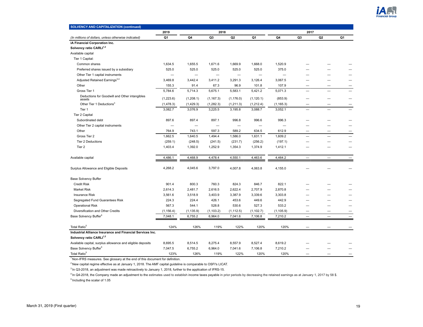

| <b>SOLVENCY AND CAPITALIZATION (continued)</b>             |            |                          |                |                          |            |            |                          |                          |    |
|------------------------------------------------------------|------------|--------------------------|----------------|--------------------------|------------|------------|--------------------------|--------------------------|----|
|                                                            | 2019       |                          | 2018           |                          |            |            | 2017                     |                          |    |
| (In millions of dollars, unless otherwise indicated)       | Q1         | Q4                       | Q <sub>3</sub> | Q <sub>2</sub>           | Q1         | Q4         | Q3                       | Q <sub>2</sub>           | Q1 |
| iA Financial Corporation Inc.                              |            |                          |                |                          |            |            |                          |                          |    |
| Solvency ratio CARLI <sup>1,2</sup>                        |            |                          |                |                          |            |            |                          |                          |    |
| Available capital                                          |            |                          |                |                          |            |            |                          |                          |    |
| Tier 1 Capital:                                            |            |                          |                |                          |            |            |                          |                          |    |
| Common shares                                              | 1,634.5    | 1,655.5                  | 1,671.6        | 1,669.9                  | 1,668.0    | 1,520.9    |                          |                          |    |
| Preferred shares issued by a subsidiary                    | 525.0      | 525.0                    | 525.0          | 525.0                    | 525.0      | 375.0      |                          |                          |    |
| Other Tier 1 capital instruments                           |            | $\overline{\phantom{0}}$ |                | $\overline{\phantom{0}}$ |            |            |                          |                          |    |
| Adjusted Retained Earnings <sup>3,4</sup>                  | 3,469.8    | 3,442.4                  | 3,411.2        | 3,291.3                  | 3,126.4    | 3,067.5    |                          |                          |    |
| Other                                                      | 155.3      | 91.4                     | 67.3           | 96.9                     | 101.8      | 107.9      |                          |                          |    |
| Gross Tier 1                                               | 5,784.6    | 5,714.3                  | 5,675.1        | 5,583.1                  | 5,421.2    | 5,071.3    | -                        |                          |    |
| Deductions for Goodwill and Other intangibles<br>assets    | (1,223.6)  | (1,208.1)                | (1, 167.3)     | (1, 176.0)               | (1, 120.1) | (853.9)    |                          |                          |    |
| Other Tier 1 Deductions <sup>3</sup>                       | (1, 478.3) | (1,429.3)                | (1, 282.3)     | (1,211.3)                | (1,212.4)  | (1, 165.3) |                          |                          |    |
| Tier 1                                                     | 3,082.7    | 3,076.9                  | 3,225.5        | 3,195.8                  | 3,088.7    | 3,052.1    | $\equiv$                 |                          |    |
| Tier 2 Capital                                             |            |                          |                |                          |            |            |                          |                          |    |
| Subordinated debt                                          | 897.6      | 897.4                    | 897.1          | 996.8                    | 996.6      | 996.3      |                          |                          |    |
| Other Tier 2 capital instruments                           | -          | $\overline{\phantom{0}}$ | -              | -                        |            | -          |                          |                          |    |
| Other                                                      | 764.9      | 743.1                    | 597.3          | 589.2                    | 634.5      | 612.9      | -                        | -                        |    |
| Gross Tier 2                                               | 1,662.5    | 1,640.5                  | 1,494.4        | 1,586.0                  | 1,631.1    | 1,609.2    |                          |                          |    |
| Tier 2 Deductions                                          | (259.1)    | (248.5)                  | (241.5)        | (231.7)                  | (256.2)    | (197.1)    |                          |                          |    |
| Tier 2                                                     | 1,403.4    | 1,392.0                  | 1,252.9        | 1,354.3                  | 1,374.9    | 1,412.1    |                          |                          |    |
| Available capital                                          | 4,486.1    | 4,468.9                  | 4,478.4        | 4,550.1                  | 4,463.6    | 4,464.2    | $\overline{\phantom{0}}$ |                          |    |
| Surplus Allowance and Eligible Deposits                    | 4,268.2    | 4,045.6                  | 3,797.0        | 4,007.8                  | 4,063.8    | 4,155.0    |                          |                          |    |
| <b>Base Solvency Buffer</b>                                |            |                          |                |                          |            |            |                          |                          |    |
| <b>Credit Risk</b>                                         | 901.4      | 800.3                    | 760.3          | 824.3                    | 846.7      | 822.1      |                          |                          |    |
| <b>Market Risk</b>                                         | 2,614.3    | 2,481.7                  | 2,616.5        | 2,622.4                  | 2,707.9    | 2,870.8    |                          |                          |    |
| <b>Insurance Risk</b>                                      | 3,561.6    | 3,518.9                  | 3,403.9        | 3,387.9                  | 3,339.6    | 3,303.8    |                          |                          |    |
| Segregated Fund Guarantees Risk                            | 224.3      | 224.4                    | 426.1          | 453.6                    | 449.6      | 442.9      |                          |                          |    |
| <b>Operational Risk</b>                                    | 567.3      | 544.1                    | 528.8          | 530.6                    | 527.3      | 533.2      |                          |                          |    |
| Diversification and Other Credits                          | (1, 156.4) | (1, 135.9)               | (1, 103.2)     | (1, 112.5)               | (1, 102.7) | (1, 105.9) | -                        | -                        |    |
| Base Solvency Buffer <sup>5</sup>                          | 7,048.1    | 6,755.2                  | 6,964.0        | 7,041.6                  | 7,106.8    | 7,210.2    | $\equiv$                 | $\overline{\phantom{0}}$ |    |
| Total Ratio <sup>5</sup>                                   | 124%       | 126%                     | 119%           | 122%                     | 120%       | 120%       |                          |                          |    |
| Industrial Alliance Insurance and Financial Services Inc.  |            |                          |                |                          |            |            |                          |                          |    |
| Solvency ratio CARLI <sup>1,2</sup>                        |            |                          |                |                          |            |            |                          |                          |    |
| Available capital, surplus allowance and eligible deposits | 8,695.5    | 8,514.5                  | 8,275.4        | 8,557.9                  | 8,527.4    | 8,619.2    |                          |                          |    |
| Base Solvency Buffer <sup>5</sup>                          | 7,047.5    | 6,755.2                  | 6,964.0        | 7,041.6                  | 7,106.8    | 7,210.2    |                          |                          |    |
| Total Ratio <sup>5</sup>                                   | 123%       | 126%                     | 119%           | 122%                     | 120%       | 120%       |                          |                          |    |

<sup>2</sup> New capital regime effective as at January 1, 2018. The AMF capital guideline is comparable to OSFI's LICAT.

 $3$  In Q3-2018, an adjustment was made retroactively to January 1, 2018, further to the application of IFRS-15.

<sup>4</sup> In Q4-2018, the Company made an adjustment to the estimates used to establish income taxes payable in prior periods by decreasing the retained earnings as at January 1, 2017 by 58 \$.  $<sup>5</sup>$  Including the scalar of 1.05</sup>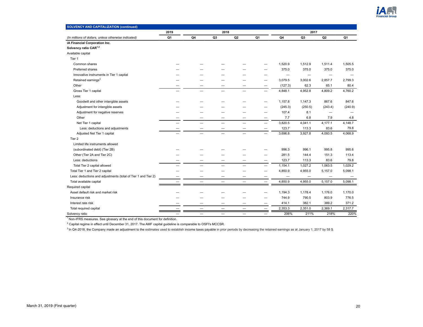

| <b>SOLVENCY AND CAPITALIZATION (continued)</b>                |      |    |                 |    |                          |         |                          |                   |         |
|---------------------------------------------------------------|------|----|-----------------|----|--------------------------|---------|--------------------------|-------------------|---------|
|                                                               | 2019 |    | 2018            |    |                          |         | 2017                     |                   |         |
| (In millions of dollars, unless otherwise indicated)          | Q1   | Q4 | Q3              | Q2 | Q1                       | Q4      | Q <sub>3</sub>           | Q <sub>2</sub>    | Q1      |
| iA Financial Corporation Inc.                                 |      |    |                 |    |                          |         |                          |                   |         |
| Solvency ratio CAR <sup>1,2</sup>                             |      |    |                 |    |                          |         |                          |                   |         |
| Available capital                                             |      |    |                 |    |                          |         |                          |                   |         |
| Tier 1                                                        |      |    |                 |    |                          |         |                          |                   |         |
| Common shares                                                 |      |    |                 |    |                          | 1,520.9 | 1,512.9                  | 1,511.4           | 1,505.5 |
| Preferred shares                                              |      |    |                 |    |                          | 375.0   | 375.0                    | 375.0             | 375.0   |
| Innovative instruments in Tier 1 capital                      |      |    |                 |    |                          | —       | $\overline{\phantom{0}}$ |                   |         |
| Retained earnings <sup>3</sup>                                |      |    |                 |    |                          | 3,079.5 | 3,002.6                  | 2,857.7           | 2,799.3 |
| Other                                                         |      |    |                 |    |                          | (127.3) | 62.3                     | 65.1              | 80.4    |
| Gross Tier 1 capital                                          |      |    |                 |    |                          | 4,848.1 | 4,952.8                  | 4,809.2           | 4,760.2 |
| Less:                                                         |      |    |                 |    |                          |         |                          |                   |         |
| Goodwill and other intangible assets                          |      |    |                 |    |                          | 1,157.8 | 1,147.3                  | 867.6             | 847.6   |
| Adjustment for intangible assets                              |      |    |                 |    |                          | (245.3) | (250.5)                  | (243.4)           | (240.9) |
| Adjustment for negative reserves                              |      |    |                 |    |                          | 107.4   | 8.1                      |                   |         |
| Other                                                         |      |    |                 |    | -                        | 7.7     | 6.8                      | 7.9               | 4.8     |
| Net Tier 1 capital                                            |      |    | —               |    | $\overline{\phantom{0}}$ | 3,820.5 | 4,041.1                  | 4,177.1           | 4,148.7 |
| Less: deductions and adjustments                              |      |    |                 |    |                          | 123.7   | 113.3                    | 83.6              | 79.8    |
| Adjusted Net Tier 1 capital                                   |      |    | $\qquad \qquad$ |    | $\overline{\phantom{0}}$ | 3,696.8 | 3,927.8                  | 4,093.5           | 4,068.9 |
| Tier <sub>2</sub>                                             |      |    |                 |    |                          |         |                          |                   |         |
| Limited life instruments allowed                              |      |    |                 |    |                          |         |                          |                   |         |
| (subordinated debt) (Tier 2B)                                 |      |    |                 |    |                          | 996.3   | 996.1                    | 995.8             | 995.6   |
| Other (Tier 2A and Tier 2C)                                   |      |    |                 |    |                          | 281.5   | 144.4                    | 151.3             | 113.4   |
| Less: deductions                                              |      |    |                 |    |                          | 123.7   | 113.3                    | 83.6              | 79.8    |
| Total Tier 2 capital allowed                                  |      |    |                 |    |                          | 1,154.1 | 1,027.2                  | 1,063.5           | 1,029.2 |
| Total Tier 1 and Tier 2 capital                               |      |    |                 |    |                          | 4,850.9 | 4,955.0                  | 5,157.0           | 5,098.1 |
| Less: deductions and adjustments (total of Tier 1 and Tier 2) |      |    |                 |    |                          |         |                          | $\qquad \qquad -$ |         |
| Total available capital                                       |      |    | -               |    |                          | 4,850.9 | 4,955.0                  | 5,157.0           | 5,098.1 |
| Required capital                                              |      |    |                 |    |                          |         |                          |                   |         |
| Asset default risk and market risk                            |      |    |                 |    |                          | 1,194.3 | 1,178.4                  | 1,176.0           | 1,170.0 |
| Insurance risk                                                |      |    |                 |    |                          | 744.9   | 790.5                    | 803.9             | 776.5   |
| Interest rate risk                                            |      |    |                 |    |                          | 414.1   | 382.1                    | 389.2             | 371.2   |
| Total required capital                                        |      |    |                 |    |                          | 2,353.3 | 2,351.0                  | 2,369.1           | 2,317.7 |
| Solvency ratio                                                |      |    |                 |    |                          | 206%    | 211%                     | 218%              | 220%    |

 $2$  Capital regime in effect until December 31, 2017. The AMF capital guideline is comparable to OSFI's MCCSR.

 $3$  In Q4-2018, the Company made an adjustment to the estimates used to establish income taxes payable in prior periods by decreasing the retained earnings as at January 1, 2017 by 58 \$.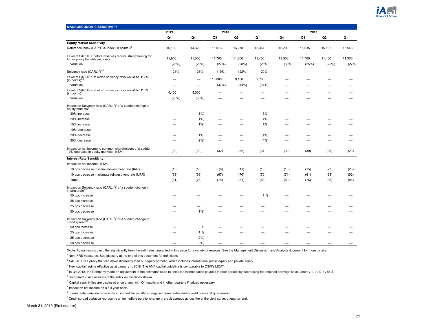

<span id="page-20-0"></span>

| <b>MACROECONOMIC SENSITIVITY<sup>1</sup></b>                                                                  |        |         |        |        |        |        |        |                |        |
|---------------------------------------------------------------------------------------------------------------|--------|---------|--------|--------|--------|--------|--------|----------------|--------|
|                                                                                                               | 2019   |         | 2018   |        |        |        | 2017   |                |        |
|                                                                                                               | Q1     | Q4      | Q3     | Q2     | Q1     | Q4     | Q3     | Q <sub>2</sub> | Q1     |
| <b>Equity Market Sensitivity</b>                                                                              |        |         |        |        |        |        |        |                |        |
| Reference index (S&P/TSX Index (in points)) <sup>2</sup>                                                      | 16,102 | 14,323  | 16,073 | 16,278 | 15,367 | 16,209 | 15,635 | 15,182         | 15,548 |
| Level of S&P/TSX before reserves require strengthening for<br>future policy benefits (in points) <sup>1</sup> | 11,900 | 11,500  | 11,700 | 11,800 | 11,400 | 11,300 | 11,700 | 11,400         | 11,300 |
| Variation                                                                                                     | (26%)  | (20%)   | (27%)  | (28%)  | (26%)  | (30%)  | (25%)  | (25%)          | (27%)  |
| Solvency ratio (CARLI <sup>3</sup> ) <sup>1,4</sup>                                                           | 124%   | 126%    | 119%   | 122%   | 120%   |        |        |                |        |
| Level of S&P/TSX at which solvency ratio would be 112% (in points) <sup>4,5</sup>                             |        | -       | 10,000 | 9,100  | 9,700  |        |        |                |        |
| Variation                                                                                                     |        |         | (37%)  | (44%)  | (37%)  |        |        |                |        |
| Level of S&P/TSX at which solvency ratio would be 110%<br>(in points) <sup>5</sup>                            | 4,400  | 5,000   |        |        |        |        |        |                |        |
| Variation                                                                                                     | (73%)  | (65%)   |        |        |        |        |        |                |        |
| Impact on Solvency ratio $(CARLI3)1$ of a sudden change in<br>equity markets <sup>6</sup>                     |        |         |        |        |        |        |        |                |        |
| 30% increase                                                                                                  |        | (1%)    |        |        | 5%     |        |        |                |        |
| 20% increase                                                                                                  |        | (1%)    |        |        | 4%     |        |        |                |        |
| 10% increase                                                                                                  |        | $(1\%)$ |        | -      | 1%     |        |        |                |        |
| 10% decrease                                                                                                  |        |         |        |        |        |        |        |                |        |
| 20% decrease                                                                                                  |        | 1%      |        | -      | (1%)   |        |        |                |        |
| 30% decrease                                                                                                  |        | (2%)    |        |        | (4% )  |        |        |                |        |
| Impact on net income to common shareholders of a sudden<br>10% decrease in equity markets (in \$M)'           | (32)   | (30)    | (32)   | (32)   | (31)   | (32)   | (30)   | (29)           | (29)   |
| <b>Interest Rate Sensitivity</b>                                                                              |        |         |        |        |        |        |        |                |        |
| Impact on net income (in \$M)                                                                                 |        |         |        |        |        |        |        |                |        |
| 10 bps decrease in initial reinvestment rate (IRR)                                                            | (13)   | (10)    | (8)    | (11)   | (13)   | (18)   | (15)   | (23)           | (23)   |
| 10 bps decrease in ultimate reinvestment rate (URR)                                                           | (68)   | (66)    | (67)   | (70)   | (70)   | (71)   | (61)   | (65)           | (62)   |
| Total                                                                                                         | (81)   | (76)    | (75)   | (81)   | (83)   | (89)   | (76)   | (88)           | (85)   |
| Impact on Solvency ratio $(CARLI3)1$ of a sudden change in interest rate <sup>6.8</sup>                       |        |         |        |        |        |        |        |                |        |
| 50 bps increase                                                                                               |        |         |        |        | 1%     |        |        |                |        |
| 25 bps increase                                                                                               |        |         |        |        |        |        |        |                |        |
| 25 bps decrease                                                                                               |        |         |        |        |        |        |        |                |        |
| 50 bps decrease                                                                                               |        | (1%)    |        |        |        |        |        |                |        |
| Impact on Solvency ratio $(CARLI^3)^1$ of a sudden change in credit spread <sup>6,9</sup>                     |        |         |        |        |        |        |        |                |        |
| 50 bps increase                                                                                               |        | 3%      |        |        |        |        |        |                |        |
| 25 bps increase                                                                                               |        | 1%      |        |        |        |        |        |                |        |
| 25 bps decrease                                                                                               |        | (2%)    |        |        |        |        |        |                | -      |
| 50 bps decrease                                                                                               |        | (3%)    |        |        |        |        |        |                |        |

\*Note: Actual results can differ significantly from the estimates presented in this page for a variety of reasons. See the Management Discussion and Analysis document for more details.

 $1$ Non-IFRS measures. See glossary at the end of this document for definitions.

<sup>2</sup> S&P/TSX is a proxy that can move differently than our equity portfolio, which includes international public equity and private equity.

 $3$  New capital regime effective as at January 1, 2018. The AMF capital guideline is comparable to OSFI's LICAT.

<sup>4</sup> In Q4-2018, the Company made an adjustment to the estimates used to establish income taxes payable in prior periods by decreasing the retained earnings as at January 1, 2017 by 58 \$.

<sup>5</sup> Compared to actual levels of the index on the dates shown.

 $^6$  Capital sensitivities are disclosed once a year with Q4 results and in other quarters if judged necessary.

 $7$  Impact on net income on a full-year basis.

<sup>8</sup> Interest rate variation represents an immediate parallel change in interest rates (entire yield curve), at quarter-end.

<sup>9</sup> Credit spread variation represents an immediate parallel change in credit spreads across the entire yield curve, at quarter-end.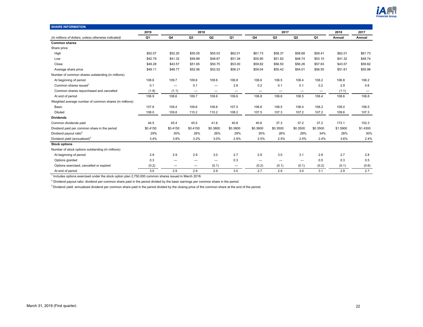

<span id="page-21-0"></span>

| <b>SHARE INFORMATION</b>                               |          |          |                          |                          |          |                          |                          |                          |                          |          |          |
|--------------------------------------------------------|----------|----------|--------------------------|--------------------------|----------|--------------------------|--------------------------|--------------------------|--------------------------|----------|----------|
|                                                        | 2019     |          | 2018                     |                          |          |                          | 2017                     |                          |                          | 2018     | 2017     |
| (In millions of dollars, unless otherwise indicated)   | Q1       | Q4       | Q3                       | Q <sub>2</sub>           | Q1       | Q4                       | Q3                       | Q <sub>2</sub>           | Q1                       | Annual   | Annual   |
| <b>Common shares</b>                                   |          |          |                          |                          |          |                          |                          |                          |                          |          |          |
| Share price                                            |          |          |                          |                          |          |                          |                          |                          |                          |          |          |
| High                                                   | \$52.07  | \$52.20  | \$55.05                  | \$55.03                  | \$62.01  | \$61.73                  | \$58.37                  | \$58.68                  | \$59.41                  | \$62.01  | \$61.73  |
| Low                                                    | \$42.79  | \$41.32  | \$49.89                  | \$48.67                  | \$51.34  | \$55.90                  | \$51.82                  | \$48.74                  | \$53.10                  | \$41.32  | \$48.74  |
| Close                                                  | \$49.28  | \$43.57  | \$51.65                  | \$50.75                  | \$53.00  | \$59.82                  | \$56.50                  | \$56.26                  | \$57.63                  | \$43.57  | \$59.82  |
| Average share price                                    | \$49.11  | \$46.77  | \$52.56                  | \$52.52                  | \$56.21  | \$59.04                  | \$55.42                  | \$54.01                  | \$56.55                  | \$51.61  | \$55.98  |
| Number of common shares outstanding (in millions)      |          |          |                          |                          |          |                          |                          |                          |                          |          |          |
| At beginning of period                                 | 108.6    | 109.7    | 109.6                    | 109.6                    | 106.8    | 106.6                    | 106.5                    | 106.4                    | 106.2                    | 106.8    | 106.2    |
| Common shares issued <sup>1</sup>                      | 0.1      |          | 0.1                      |                          | 2.8      | 0.2                      | 0.1                      | 0.1                      | 0.2                      | 2.9      | 0.6      |
| Common shares repurchased and cancelled                | (1.8)    | (1.1)    | $\overline{\phantom{m}}$ | -                        | -        | -                        |                          | $\overline{\phantom{0}}$ | $\overline{\phantom{0}}$ | (1.1)    |          |
| At end of period                                       | 106.9    | 108.6    | 109.7                    | 109.6                    | 109.6    | 106.8                    | 106.6                    | 106.5                    | 106.4                    | 108.6    | 106.8    |
| Weighted average number of common shares (in millions) |          |          |                          |                          |          |                          |                          |                          |                          |          |          |
| Basic                                                  | 107.6    | 109.4    | 109.6                    | 109.6                    | 107.5    | 106.6                    | 106.5                    | 106.4                    | 106.2                    | 109.0    | 106.5    |
| Diluted                                                | 108.0    | 109.8    | 110.2                    | 110.2                    | 108.2    | 107.5                    | 107.3                    | 107.2                    | 107.2                    | 109.6    | 107.3    |
| <b>Dividends</b>                                       |          |          |                          |                          |          |                          |                          |                          |                          |          |          |
| Common dividends paid                                  | 44.5     | 45.4     | 45.5                     | 41.6                     | 40.6     | 40.6                     | 37.3                     | 37.2                     | 37.2                     | 173.1    | 152.3    |
| Dividend paid per common share in the period           | \$0.4150 | \$0.4150 | \$0.4150                 | \$0.3800                 | \$0.3800 | \$0.3800                 | \$0.3500                 | \$0.3500                 | \$0.3500                 | \$1.5900 | \$1.4300 |
| Dividend payout ratio <sup>2</sup>                     | 29%      | 30%      | 28%                      | 26%                      | 29%      | 30%                      | 26%                      | 29%                      | 34%                      | 28%      | 30%      |
| Dividend yield (annualized) <sup>3</sup>               | 3.4%     | 3.8%     | 3.2%                     | 3.0%                     | 2.9%     | 2.5%                     | 2.5%                     | 2.5%                     | 2.4%                     | 3.6%     | 2.4%     |
| <b>Stock options</b>                                   |          |          |                          |                          |          |                          |                          |                          |                          |          |          |
| Number of stock options outstanding (in millions)      |          |          |                          |                          |          |                          |                          |                          |                          |          |          |
| At beginning of period                                 | 2.9      | 2.9      | 2.9                      | 3.0                      | 2.7      | 2.9                      | 3.0                      | 3.1                      | 2.8                      | 2.7      | 2.8      |
| Options granted                                        | 0.3      | —        | -                        | $\overline{\phantom{0}}$ | 0.3      | $\overline{\phantom{0}}$ | $\overline{\phantom{m}}$ | $\overline{\phantom{0}}$ | 0.5                      | 0.3      | 0.5      |
| Options exercised, cancelled or expired                | (0.2)    | -        | —                        | (0.1)                    | —        | (0.2)                    | (0.1)                    | (0.1)                    | (0.2)                    | (0.1)    | (0.6)    |
| At end of period                                       | 3.0      | 2.9      | 2.9                      | 2.9                      | 3.0      | 2.7                      | 2.9                      | 3.0                      | 3.1                      | 2.9      | 2.7      |

1 Includes options exercised under the stock option plan 2,750,000 common shares issued in March 2018.

 $^2$  Dividend payout ratio: dividend per common share paid in the period divided by the basic earnings per common share in the period.

<sup>3</sup> Dividend yield: annualized dividend per common share paid in the period divided by the closing price of the common share at the end of the period.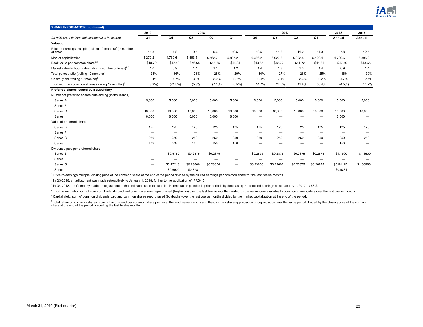

| <b>SHARE INFORMATION (continued)</b>                                                 |           |                          |           |                          |                          |           |                          |                          |                   |           |                          |
|--------------------------------------------------------------------------------------|-----------|--------------------------|-----------|--------------------------|--------------------------|-----------|--------------------------|--------------------------|-------------------|-----------|--------------------------|
|                                                                                      | 2019      |                          | 2018      |                          |                          |           | 2017                     |                          |                   | 2018      | 2017                     |
| (In millions of dollars, unless otherwise indicated)                                 | Q1        | Q4                       | Q3        | Q2                       | Q1                       | Q4        | Q3                       | Q2                       | Q <sub>1</sub>    | Annual    | Annual                   |
| Valuation                                                                            |           |                          |           |                          |                          |           |                          |                          |                   |           |                          |
| Price-to-earnings multiple (trailing 12 months) <sup>1</sup> (in number<br>of times) | 11.3      | 7.8                      | 9.5       | 9.6                      | 10.5                     | 12.5      | 11.3                     | 11.2                     | 11.3              | 7.8       | 12.5                     |
| Market capitalization                                                                | 5,270.2   | 4,730.6                  | 5,663.5   | 5,562.7                  | 5,807.2                  | 6,386.2   | 6,020.3                  | 5,992.8                  | 6,129.4           | 4,730.6   | 6,386.2                  |
| Book value per common share <sup>2,3</sup>                                           | \$48.79   | \$47.40                  | \$46.65   | \$45.85                  | \$44.34                  | \$43.65   | \$42.72                  | \$41.72                  | \$41.31           | \$47.40   | \$43.65                  |
| Market value to book value ratio (in number of times) <sup>2,3</sup>                 | 1.0       | 0.9                      | 1.1       | 1.1                      | 1.2                      | 1.4       | 1.3                      | 1.3                      | 1.4               | 0.9       | 1.4                      |
| Total payout ratio (trailing 12 months) <sup>4</sup>                                 | 28%       | 36%                      | 28%       | 28%                      | 29%                      | 30%       | 27%                      | 26%                      | 25%               | 36%       | 30%                      |
| Capital yield (trailing 12 months) <sup>5</sup>                                      | 3.4%      | 4.7%                     | 3.0%      | 2.9%                     | 2.7%                     | 2.4%      | 2.4%                     | 2.3%                     | 2.2%              | 4.7%      | 2.4%                     |
| Total return on common shares (trailing 12 months) <sup>6</sup>                      | $(3.9\%)$ | (24.5%)                  | (5.8%)    | $(7.1\%)$                | $(5.5\%)$                | 14.7%     | 22.5%                    | 41.8%                    | 50.4%             | (24.5%)   | 14.7%                    |
| Preferred shares issued by a subsidiary                                              |           |                          |           |                          |                          |           |                          |                          |                   |           |                          |
| Number of preferred shares outstanding (in thousands)                                |           |                          |           |                          |                          |           |                          |                          |                   |           |                          |
| Series B                                                                             | 5,000     | 5,000                    | 5,000     | 5,000                    | 5,000                    | 5,000     | 5,000                    | 5,000                    | 5,000             | 5,000     | 5,000                    |
| Series <sub>F</sub>                                                                  |           | -                        | -         | –                        | -                        |           | $\overline{\phantom{0}}$ |                          |                   |           |                          |
| Series G                                                                             | 10,000    | 10,000                   | 10,000    | 10.000                   | 10,000                   | 10,000    | 10,000                   | 10,000                   | 10,000            | 10,000    | 10,000                   |
| Series I                                                                             | 6,000     | 6,000                    | 6,000     | 6,000                    | 6,000                    | -         |                          |                          | -                 | 6,000     |                          |
| Value of preferred shares                                                            |           |                          |           |                          |                          |           |                          |                          |                   |           |                          |
| Series B                                                                             | 125       | 125                      | 125       | 125                      | 125                      | 125       | 125                      | 125                      | 125               | 125       | 125                      |
| Series <sub>F</sub>                                                                  | -         | $\overline{\phantom{0}}$ | -         | $\overline{\phantom{0}}$ | $\overline{\phantom{0}}$ | -         | $\overline{\phantom{m}}$ | $\overline{\phantom{0}}$ | -                 | -         | $\overline{\phantom{0}}$ |
| Series G                                                                             | 250       | 250                      | 250       | 250                      | 250                      | 250       | 250                      | 250                      | 250               | 250       | 250                      |
| Series I                                                                             | 150       | 150                      | 150       | 150                      | 150                      |           |                          |                          |                   | 150       |                          |
| Dividends paid per preferred share                                                   |           |                          |           |                          |                          |           |                          |                          |                   |           |                          |
| Series B                                                                             | -         | \$0.5750                 | \$0.2875  | \$0.2875                 | -                        | \$0.2875  | \$0.2875                 | \$0.2875                 | \$0.2875          | \$1.1500  | \$1.1500                 |
| Series <sub>F</sub>                                                                  |           |                          |           |                          |                          |           |                          |                          |                   |           |                          |
| Series G                                                                             |           | \$0.47213                | \$0.23606 | \$0.23606                | -                        | \$0.23606 | \$0.23606                | \$0.26875                | \$0.26875         | \$0.94425 | \$1.00963                |
| Series I                                                                             |           | \$0.6000                 | \$0.3781  | -                        |                          |           |                          |                          | $\qquad \qquad -$ | \$0.9781  |                          |

<sup>1</sup> Price-to-earnings multiple: closing price of the common share at the end of the period divided by the diluted earnings per common share for the last twelve months.

 $2$  In Q3-2018, an adjustment was made retroactively to January 1, 2018, further to the application of IFRS-15.

<sup>3</sup> In Q4-2018, the Company made an adjustment to the estimates used to establish income taxes payable in prior periods by decreasing the retained earnings as at January 1, 2017 by 58 \$.

<sup>4</sup> Total payout ratio: sum of common dividends paid and common shares repurchased (buybacks) over the last twelve months divided by the net income available to common shareholders over the last twelve months.

<sup>5</sup> Capital yield: sum of common dividends paid and common shares repurchased (buybacks) over the last twelve months divided by the market capitalization at the end of the period.

<sup>6</sup> Total return on common shares: sum of the dividend per common share paid over the last twelve months and the common share appreciation or depreciation over the same period divided by the closing price of the common<br>sha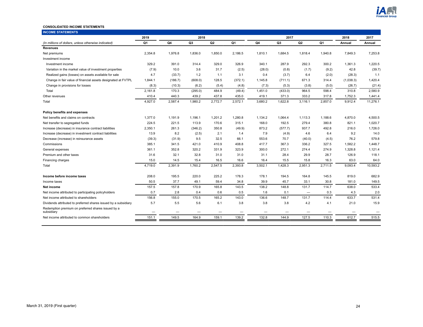

#### <span id="page-23-0"></span>**CONSOLIDATED INCOME STATEMENTS**

| <b>INCOME STATEMENTS</b>                                         |         |         |                |                          |         |                          |                |         |         |           |          |
|------------------------------------------------------------------|---------|---------|----------------|--------------------------|---------|--------------------------|----------------|---------|---------|-----------|----------|
|                                                                  | 2019    |         | 2018           |                          |         |                          | 2017           |         |         | 2018      | 2017     |
| (In millions of dollars, unless otherwise indicated)             | Q1      | Q4      | Q <sub>3</sub> | Q <sub>2</sub>           | Q1      | Q4                       | Q <sub>3</sub> | Q2      | Q1      | Annual    | Annual   |
| <b>Revenues</b>                                                  |         |         |                |                          |         |                          |                |         |         |           |          |
| Net premiums                                                     | 2,354.8 | 1,976.8 | 1,836.0        | 1,850.0                  | 2,186.5 | 1,810.1                  | 1,684.5        | 1.818.4 | 1,940.8 | 7.849.3   | 7,253.8  |
| Investment income                                                |         |         |                |                          |         |                          |                |         |         |           |          |
| Investment income                                                | 329.2   | 391.0   | 314.4          | 329.0                    | 326.9   | 340.1                    | 287.9          | 292.3   | 300.2   | 1,361.3   | 1,220.5  |
| Variation in the market value of investment properties           | (7.9)   | 10.0    | 3.6            | 31.7                     | (2.5)   | (28.0)                   | (0.8)          | (1.7)   | (9.2)   | 42.8      | (39.7)   |
| Realized gains (losses) on assets available for sale             | 4.7     | (33.7)  | 1.2            | 1.1                      | 3.1     | 0.4                      | (3.7)          | 6.4     | (2.0)   | (28.3)    | 1.1      |
| Change in fair value of financial assets designated at FVTPL     | 1,844.1 | (186.7) | (608.0)        | 128.5                    | (372.1) | 1,145.8                  | (711.1)        | 671.3   | 314.4   | (1,038.3) | 1,420.4  |
| Change in provisions for losses                                  | (8.3)   | (10.3)  | (6.2)          | (5.4)                    | (4.8)   | (7.3)                    | (5.3)          | (3.8)   | (5.0)   | (26.7)    | (21.4)   |
| Total                                                            | 2,161.8 | 170.3   | (295.0)        | 484.9                    | (49.4)  | 1,451.0                  | (433.0)        | 964.5   | 598.4   | 310.8     | 2,580.9  |
| Other revenues                                                   | 410.4   | 440.3   | 439.2          | 437.8                    | 435.0   | 419.1                    | 371.3          | 333.2   | 317.8   | 1,752.3   | 1,441.4  |
| Total                                                            | 4,927.0 | 2,587.4 | 1.980.2        | 2,772.7                  | 2,572.1 | 3,680.2                  | 1,622.8        | 3.116.1 | 2,857.0 | 9,912.4   | 11,276.1 |
| Policy benefits and expenses                                     |         |         |                |                          |         |                          |                |         |         |           |          |
| Net benefits and claims on contracts                             | 1,377.0 | 1,191.9 | 1,196.1        | 1,201.2                  | 1,280.8 | 1,134.2                  | 1,064.4        | 1,113.3 | 1,188.6 | 4,870.0   | 4,500.5  |
| Net transfer to segregated funds                                 | 224.5   | 221.5   | 113.9          | 170.6                    | 315.1   | 168.0                    | 192.5          | 279.4   | 380.8   | 821.1     | 1,020.7  |
| Increase (decrease) in insurance contract liabilities            | 2,350.1 | 261.3   | (346.2)        | 350.8                    | (49.9)  | 873.2                    | (577.7)        | 937.7   | 492.8   | 216.0     | 1,726.0  |
| Increase (decrease) in investment contract liabilities           | 13.9    | 8.2     | (2.5)          | 2.1                      | 1.4     | 7.9                      | (4.9)          | 4.6     | 6.4     | 9.2       | 14.0     |
| Decrease (increase) in reinsurance assets                        | (39.3)  | (31.9)  | 9.5            | 32.5                     | 66.1    | 553.6                    | 70.7           | (40.0)  | (4.5)   | 76.2      | 579.8    |
| Commissions                                                      | 385.1   | 341.5   | 421.0          | 410.9                    | 408.8   | 417.7                    | 367.3          | 336.2   | 327.5   | 1,582.2   | 1,448.7  |
| General expenses                                                 | 361.1   | 352.8   | 320.2          | 331.9                    | 323.9   | 300.0                    | 272.1          | 274.4   | 274.9   | 1,328.8   | 1,121.4  |
| Premium and other taxes                                          | 31.6    | 32.1    | 32.8           | 31.0                     | 31.0    | 31.1                     | 28.4           | 29.9    | 28.7    | 126.9     | 118.1    |
| Financing charges                                                | 15.0    | 14.5    | 15.4           | 16.5                     | 16.6    | 16.4                     | 15.5           | 15.8    | 16.3    | 63.0      | 64.0     |
| Total                                                            | 4.719.0 | 2,391.9 | 1,760.2        | 2,547.5                  | 2,393.8 | 3,502.1                  | 1,428.3        | 2,951.3 | 2,711.5 | 9,093.4   | 10,593.2 |
| Income before income taxes                                       | 208.0   | 195.5   | 220.0          | 225.2                    | 178.3   | 178.1                    | 194.5          | 164.8   | 145.5   | 819.0     | 682.9    |
| Income taxes                                                     | 50.5    | 37.7    | 49.1           | 59.4                     | 34.8    | 39.9                     | 45.7           | 33.1    | 30.8    | 181.0     | 149.5    |
| Net income                                                       | 157.5   | 157.8   | 170.9          | 165.8                    | 143.5   | 138.2                    | 148.8          | 131.7   | 114.7   | 638.0     | 533.4    |
| Net income attributed to participating policyholders             | 0.7     | 2.8     | 0.4            | 0.6                      | 0.5     | 1.6                      | 0.1            |         | 0.3     | 4.3       | 2.0      |
| Net income attributed to shareholders                            | 156.8   | 155.0   | 170.5          | 165.2                    | 143.0   | 136.6                    | 148.7          | 131.7   | 114.4   | 633.7     | 531.4    |
| Dividends attributed to preferred shares issued by a subsidiary  | 5.7     | 5.5     | 5.6            | 6.1                      | 3.8     | 3.8                      | 3.8            | 4.2     | 4.1     | 21.0      | 15.9     |
| Redemption premium on preferred shares issued by a<br>subsidiary | -       |         | —              | $\overline{\phantom{0}}$ |         | $\overline{\phantom{0}}$ | -              | —       |         | -         |          |
| Net income attributed to common shareholders                     | 151.1   | 149.5   | 164.9          | 159.1                    | 139.2   | 132.8                    | 144.9          | 127.5   | 110.3   | 612.7     | 515.5    |
|                                                                  |         |         |                |                          |         |                          |                |         |         |           |          |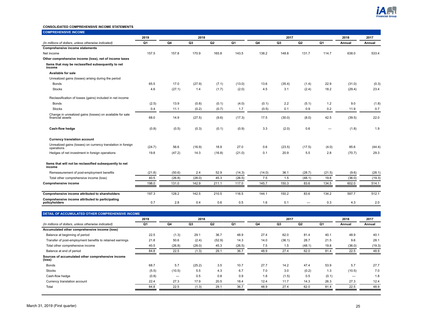

#### **CONSOLIDATED COMPREHENSIVE INCOME STATEMENTS**

|                                                                               | 2019   |        | 2018           |        |        |        | 2017           |                          |        | 2018   | 2017   |
|-------------------------------------------------------------------------------|--------|--------|----------------|--------|--------|--------|----------------|--------------------------|--------|--------|--------|
| (In millions of dollars, unless otherwise indicated)                          | Q1     | Q4     | Q <sub>3</sub> | Q2     | Q1     | Q4     | Q <sub>3</sub> | Q2                       | Q1     | Annual | Annual |
| <b>Comprehensive income statements</b>                                        |        |        |                |        |        |        |                |                          |        |        |        |
| Net income                                                                    | 157.5  | 157.8  | 170.9          | 165.8  | 143.5  | 138.2  | 148.8          | 131.7                    | 114.7  | 638.0  | 533.4  |
| Other comprehensive income (loss), net of income taxes                        |        |        |                |        |        |        |                |                          |        |        |        |
| Items that may be reclassified subsequently to net<br>income                  |        |        |                |        |        |        |                |                          |        |        |        |
| Available for sale                                                            |        |        |                |        |        |        |                |                          |        |        |        |
| Unrealized gains (losses) arising during the period                           |        |        |                |        |        |        |                |                          |        |        |        |
| <b>Bonds</b>                                                                  | 65.5   | 17.0   | (27.9)         | (7.1)  | (13.0) | 13.6   | (35.4)         | (1.4)                    | 22.9   | (31.0) | (0.3)  |
| <b>Stocks</b>                                                                 | 4.6    | (27.1) | 1.4            | (1.7)  | (2.0)  | 4.5    | 3.1            | (2.4)                    | 18.2   | (29.4) | 23.4   |
| Reclassification of losses (gains) included in net income                     |        |        |                |        |        |        |                |                          |        |        |        |
| Bonds                                                                         | (2.5)  | 13.9   | (0.8)          | (0.1)  | (4.0)  | (0.1)  | 2.2            | (5.1)                    | 1.2    | 9.0    | (1.8)  |
| <b>Stocks</b>                                                                 | 0.4    | 11.1   | (0.2)          | (0.7)  | 1.7    | (0.5)  | 0.1            | 0.9                      | 0.2    | 11.9   | 0.7    |
| Change in unrealized gains (losses) on available for sale<br>financial assets | 68.0   | 14.9   | (27.5)         | (9.6)  | (17.3) | 17.5   | (30.0)         | (8.0)                    | 42.5   | (39.5) | 22.0   |
| Cash-flow hedge                                                               | (0.8)  | (0.5)  | (0.3)          | (0.1)  | (0.9)  | 3.3    | (2.0)          | 0.6                      | —      | (1.8)  | 1.9    |
| <b>Currency translation account</b>                                           |        |        |                |        |        |        |                |                          |        |        |        |
| Unrealized gains (losses) on currency translation in foreign<br>operations    | (24.7) | 56.6   | (16.9)         | 18.9   | 27.0   | 0.6    | (23.5)         | (17.5)                   | (4.0)  | 85.6   | (44.4) |
| Hedges of net investment in foreign operations                                | 19.8   | (47.2) | 14.3           | (16.8) | (21.0) | 0.1    | 20.9           | 5.5                      | 2.8    | (70.7) | 29.3   |
| Items that will not be reclassified subsequently to net<br>income             |        |        |                |        |        |        |                |                          |        |        |        |
| Remeasurement of post-employment benefits                                     | (21.8) | (50.6) | 2.4            | 52.9   | (14.3) | (14.0) | 36.1           | (28.7)                   | (21.5) | (9.6)  | (28.1) |
| Total other comprehensive income (loss)                                       | 40.5   | (26.8) | (28.0)         | 45.3   | (26.5) | 7.5    | 1.5            | (48.1)                   | 19.8   | (36.0) | (19.3) |
| Comprehensive income                                                          | 198.0  | 131.0  | 142.9          | 211.1  | 117.0  | 145.7  | 150.3          | 83.6                     | 134.5  | 602.0  | 514.1  |
| Comprehensive income attributed to shareholders                               | 197.3  | 128.2  | 142.5          | 210.5  | 116.5  | 144.1  | 150.2          | 83.6                     | 134.2  | 597.7  | 512.1  |
| Comprehensive income attributed to participating<br>policyholders             | 0.7    | 2.8    | 0.4            | 0.6    | 0.5    | 1.6    | 0.1            | $\overline{\phantom{0}}$ | 0.3    | 4.3    | 2.0    |

|                                                             | 2019  | 2018   |        |        |        | 2017 |        |        |       | 2018   | 2017   |
|-------------------------------------------------------------|-------|--------|--------|--------|--------|------|--------|--------|-------|--------|--------|
| (In millions of dollars, unless otherwise indicated)        | Q1    | Q4     | Q3     | Q2     | Q1     | Q4   | Q3     | Q2     | Q1    | Annual | Annual |
| Accumulated other comprehensive income (loss)               |       |        |        |        |        |      |        |        |       |        |        |
| Balance at beginning of period                              | 22.5  | (1.3)  | 29.1   | 36.7   | 48.9   | 27.4 | 62.0   | 81.4   | 40.1  | 48.9   | 40.1   |
| Transfer of post-employment benefits to retained earnings   | 21.8  | 50.6   | (2.4)  | (52.9) | 14.3   | 14.0 | (36.1) | 28.7   | 21.5  | 9.6    | 28.1   |
| Total other comprehensive income                            | 40.5  | (26.8) | (28.0) | 45.3   | (26.5) | 7.5  | 1.5    | (48.1) | 19.8  | (36.0) | (19.3) |
| Balance at end of period                                    | 84.8  | 22.5   | (1.3)  | 29.1   | 36.7   | 48.9 | 27.4   | 62.0   | 81.4  | 22.5   | 48.9   |
| Sources of accumulated other comprehensive income<br>(loss) |       |        |        |        |        |      |        |        |       |        |        |
| <b>Bonds</b>                                                | 68.7  | 5.7    | (25.2) | 3.5    | 10.7   | 27.7 | 14.2   | 47.4   | 53.9  | 5.7    | 27.7   |
| <b>Stocks</b>                                               | (5.5) | (10.5) | 5.5    | 4.3    | 6.7    | 7.0  | 3.0    | (0.2)  | 1.3   | (10.5) | 7.0    |
| Cash-flow hedge                                             | (0.8) |        | 0.5    | 0.8    | 0.9    | 1.8  | (1.5)  | 0.5    | (0.1) |        | 1.8    |
| Currency translation account                                | 22.4  | 27.3   | 17.9   | 20.5   | 18.4   | 12.4 | 11.7   | 14.3   | 26.3  | 27.3   | 12.4   |
| Total                                                       | 84.8  | 22.5   | (1.3)  | 29.1   | 36.7   | 48.9 | 27.4   | 62.0   | 81.4  | 22.5   | 48.9   |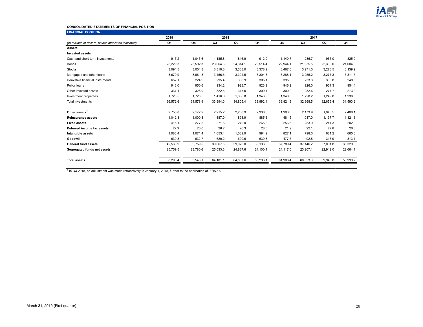

#### **CONSOLIDATED STATEMENTS OF FINANCIAL POSITION**

| <b>FINANCIAL POSITION</b>                            |          |          |          |                |          |          |          |                |          |  |  |
|------------------------------------------------------|----------|----------|----------|----------------|----------|----------|----------|----------------|----------|--|--|
|                                                      | 2019     |          | 2018     |                |          | 2017     |          |                |          |  |  |
| (In millions of dollars, unless otherwise indicated) | Q1       | Q4       | Q3       | Q <sub>2</sub> | Q1       | Q4       | Q3       | Q <sub>2</sub> | Q1       |  |  |
| <b>Assets</b>                                        |          |          |          |                |          |          |          |                |          |  |  |
| <b>Invested assets</b>                               |          |          |          |                |          |          |          |                |          |  |  |
| Cash and short-term investments                      | 917.2    | 1,045.6  | 1,185.8  | 846.9          | 912.9    | 1,140.7  | 1,236.7  | 965.0          | 825.0    |  |  |
| <b>Bonds</b>                                         | 25,229.3 | 23,592.3 | 23,064.3 | 24,314.1       | 23,514.4 | 22.944.1 | 21,935.5 | 22,338.0       | 21,604.9 |  |  |
| <b>Stocks</b>                                        | 3,094.5  | 3,054.8  | 3,319.3  | 3,363.0        | 3,378.9  | 3,467.0  | 3.271.0  | 3,278.5        | 3,139.9  |  |  |
| Mortgages and other loans                            | 3,670.9  | 3,661.3  | 3,456.5  | 3,324.5        | 3,304.8  | 3,288.1  | 3,255.2  | 3,277.3        | 3,311.5  |  |  |
| Derivative financial instruments                     | 657.1    | 224.9    | 295.4    | 360.9          | 305.1    | 395.0    | 233.3    | 308.8          | 248.5    |  |  |
| Policy loans                                         | 946.0    | 950.6    | 934.2    | 923.7          | 923.9    | 946.2    | 926.0    | 961.3          | 954.4    |  |  |
| Other invested assets                                | 337.1    | 328.9    | 322.5    | 315.5          | 309.4    | 300.0    | 282.6    | 277.7          | 273.0    |  |  |
| Investment properties                                | 1,720.5  | 1,720.5  | 1,416.0  | 1,356.8        | 1,343.0  | 1,340.8  | 1,228.2  | 1,249.8        | 1,236.0  |  |  |
| <b>Total investments</b>                             | 36,572.6 | 34,578.9 | 33,994.0 | 34,805.4       | 33,992.4 | 33,821.9 | 32,368.5 | 32,656.4       | 31,593.2 |  |  |
|                                                      |          |          |          |                |          |          |          |                |          |  |  |
| Other assets <sup>1</sup>                            | 2,758.8  | 2,172.2  | 2,215.2  | 2,258.9        | 2,336.0  | 1,903.0  | 2,173.9  | 1,940.5        | 2,408.1  |  |  |
| <b>Reinsurance assets</b>                            | 1,042.3  | 1,000.8  | 887.0    | 898.9          | 885.6    | 481.5    | 1,037.0  | 1,137.7        | 1,121.3  |  |  |
| <b>Fixed assets</b>                                  | 415.1    | 277.5    | 271.5    | 270.0          | 265.8    | 256.5    | 253.9    | 241.3          | 202.0    |  |  |
| Deferred income tax assets                           | 27.9     | 26.0     | 26.2     | 26.3           | 28.0     | 21.9     | 22.1     | 27.8           | 26.6     |  |  |
| Intangible assets                                    | 1.083.4  | 1.071.4  | 1,053.4  | 1,039.9        | 994.9    | 827.1    | 798.0    | 681.2          | 665.3    |  |  |
| Goodwill                                             | 630.8    | 632.7    | 620.2    | 620.6          | 630.3    | 477.5    | 492.8    | 316.9          | 313.1    |  |  |
| <b>General fund assets</b>                           | 42,530.9 | 39,759.5 | 39,067.5 | 39,920.0       | 39,133.0 | 37,789.4 | 37,146.2 | 37,001.8       | 36,329.6 |  |  |
| Segregated funds net assets                          | 25,759.5 | 23,780.6 | 25,033.6 | 24,887.6       | 24.100.1 | 24.117.0 | 23,207.1 | 22,942.0       | 22,664.1 |  |  |
|                                                      |          |          |          |                |          |          |          |                |          |  |  |
| <b>Total assets</b>                                  | 68,290.4 | 63,540.1 | 64,101.1 | 64,807.6       | 63,233.1 | 61,906.4 | 60,353.3 | 59,943.8       | 58,993.7 |  |  |
|                                                      |          |          |          |                |          |          |          |                |          |  |  |

<sup>1</sup> In Q3-2018, an adjustment was made retroactively to January 1, 2018, further to the application of IFRS-15.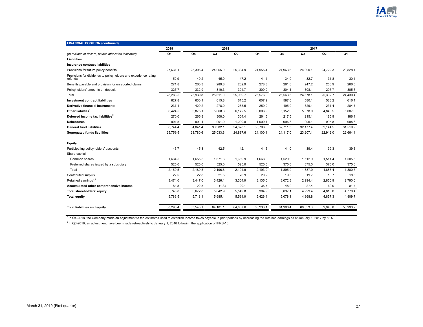| <b>FINANCIAL POSITION (continued)</b>                                      |          |          |                |          |          |          |          |                |          |  |  |
|----------------------------------------------------------------------------|----------|----------|----------------|----------|----------|----------|----------|----------------|----------|--|--|
|                                                                            | 2019     | 2018     |                |          |          | 2017     |          |                |          |  |  |
| (In millions of dollars, unless otherwise indicated)                       | Q1       | Q4       | Q <sub>3</sub> | Q2       | Q1       | Q4       | Q3       | Q <sub>2</sub> | Q1       |  |  |
| Liabilities                                                                |          |          |                |          |          |          |          |                |          |  |  |
| Insurance contract liabilities                                             |          |          |                |          |          |          |          |                |          |  |  |
| Provisions for future policy benefits                                      | 27.631.1 | 25,306.4 | 24,965.9       | 25,334.9 | 24,955.4 | 24.963.6 | 24,090.1 | 24,722.3       | 23,828.1 |  |  |
| Provisions for dividends to policyholders and experience rating<br>refunds | 52.9     | 40.2     | 45.0           | 47.2     | 41.4     | 34.0     | 32.7     | 31.8           | 30.1     |  |  |
| Benefits payable and provision for unreported claims                       | 271.8    | 260.3    | 289.8          | 282.9    | 278.3    | 261.8    | 247.2    | 250.9          | 266.5    |  |  |
| Policyholders' amounts on deposit                                          | 327.7    | 332.9    | 310.3          | 304.7    | 300.9    | 304.1    | 308.1    | 297.7          | 305.7    |  |  |
| Total                                                                      | 28,283.5 | 25,939.8 | 25,611.0       | 25,969.7 | 25,576.0 | 25,563.5 | 24,678.1 | 25,302.7       | 24,430.4 |  |  |
| <b>Investment contract liabilities</b>                                     | 627.8    | 630.1    | 615.8          | 615.2    | 607.9    | 587.0    | 580.1    | 588.2          | 616.1    |  |  |
| <b>Derivative financial instruments</b>                                    | 237.1    | 429.2    | 278.0          | 265.5    | 250.9    | 195.0    | 329.1    | 231.4          | 284.7    |  |  |
| Other liabilties <sup>1</sup>                                              | 6.424.5  | 5,875.1  | 5,668.3        | 6,172.5  | 6,006.9  | 5,152.0  | 5.378.9  | 4,840.5        | 5,007.0  |  |  |
| Deferred income tax liabilities <sup>2</sup>                               | 270.0    | 265.8    | 308.0          | 304.4    | 264.5    | 217.5    | 215.1    | 185.9          | 186.1    |  |  |
| <b>Debentures</b>                                                          | 901.5    | 901.4    | 901.0          | 1,000.8  | 1,000.4  | 996.3    | 996.1    | 995.8          | 995.6    |  |  |
| <b>General fund liabilities</b>                                            | 36,744.4 | 34,041.4 | 33,382.1       | 34,328.1 | 33,706.6 | 32,711.3 | 32,177.4 | 32,144.5       | 31,519.9 |  |  |
| <b>Segregated funds liabilities</b>                                        | 25,759.5 | 23,780.6 | 25,033.6       | 24,887.6 | 24,100.1 | 24,117.0 | 23,207.1 | 22,942.0       | 22,664.1 |  |  |
| Equity                                                                     |          |          |                |          |          |          |          |                |          |  |  |
| Participating policyholders' accounts                                      | 45.7     | 45.3     | 42.5           | 42.1     | 41.5     | 41.0     | 39.4     | 39.3           | 39.3     |  |  |
| Share capital                                                              |          |          |                |          |          |          |          |                |          |  |  |
| Common shares                                                              | 1,634.5  | 1,655.5  | 1,671.6        | 1,669.9  | 1,668.0  | 1,520.9  | 1,512.9  | 1,511.4        | 1,505.5  |  |  |
| Preferred shares issued by a subsidiary                                    | 525.0    | 525.0    | 525.0          | 525.0    | 525.0    | 375.0    | 375.0    | 375.0          | 375.0    |  |  |
| Total                                                                      | 2.159.5  | 2.180.5  | 2.196.6        | 2,194.9  | 2,193.0  | 1.895.9  | 1.887.9  | 1,886.4        | 1.880.5  |  |  |
| Contributed surplus                                                        | 22.5     | 22.8     | 21.5           | 20.9     | 20.2     | 19.5     | 19.7     | 18.7           | 18.5     |  |  |
| Retained earnings <sup>1,2</sup>                                           | 3,474.0  | 3,447.0  | 3,426.1        | 3,304.9  | 3,135.0  | 3,072.8  | 2,994.4  | 2,850.9        | 2,790.0  |  |  |
| Accumulated other comprehensive income                                     | 84.8     | 22.5     | (1.3)          | 29.1     | 36.7     | 48.9     | 27.4     | 62.0           | 81.4     |  |  |
| Total shareholders' equity                                                 | 5,740.8  | 5,672.8  | 5,642.9        | 5,549.8  | 5,384.9  | 5,037.1  | 4,929.4  | 4,818.0        | 4,770.4  |  |  |
| <b>Total equity</b>                                                        | 5,786.5  | 5,718.1  | 5,685.4        | 5,591.9  | 5,426.4  | 5,078.1  | 4.968.8  | 4,857.3        | 4,809.7  |  |  |
| <b>Total liabilities and equity</b>                                        | 68,290.4 | 63,540.1 | 64,101.1       | 64,807.6 | 63,233.1 | 61,906.4 | 60,353.3 | 59,943.8       | 58,993.7 |  |  |

<sup>1</sup> In Q4-2018, the Company made an adjustment to the estimates used to establish income taxes payable in prior periods by decreasing the retained earnings as at January 1, 2017 by 58 \$.

 $^{2}$  In Q3-2018, an adjustment have been made retroactively to January 1, 2018 following the application of IFRS-15.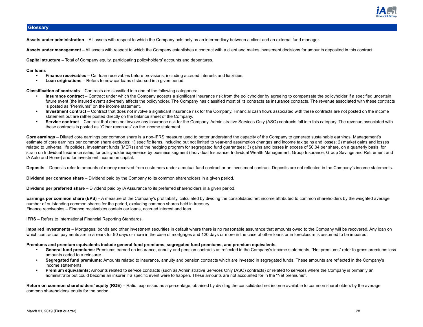

## <span id="page-27-0"></span>**Glossary**

**Assets under administration** – All assets with respect to which the Company acts only as an intermediary between a client and an external fund manager.

**Assets under management** – All assets with respect to which the Company establishes a contract with a client and makes investment decisions for amounts deposited in this contract.

**Capital structure** – Total of Company equity, participating policyholders' accounts and debentures.

#### **Car loans**

- **• Finance receivables**  Car loan receivables before provisions, including accrued interests and liabilities.
- **Loan originations** Refers to new car loans disbursed in a given period.

**Classification of contracts** – Contracts are classified into one of the following categories:

- **• Insurance contract** Contract under which the Company accepts a significant insurance risk from the policyholder by agreeing to compensate the policyholder if a specified uncertain future event (the insured event) adversely affects the policyholder. The Company has classified most of its contracts as insurance contracts. The revenue associated with these contracts is posted as "Premiums" on the income statement.
- **• Investment contract** Contract that does not involve a significant insurance risk for the Company. Financial cash flows associated with these contracts are not posted on the income statement but are rather posted directly on the balance sheet of the Company.
- Service contract Contract that does not involve any insurance risk for the Company. Administrative Services Only (ASO) contracts fall into this category. The revenue associated with these contracts is posted as "Other revenues" on the income statement.

**Core earnings** – Diluted core earnings per common share is a non-IFRS measure used to better understand the capacity of the Company to generate sustainable earnings. Management's estimate of core earnings per common share excludes: 1) specific items, including but not limited to year-end assumption changes and income tax gains and losses; 2) market gains and losses related to universal life policies, investment funds (MERs) and the hedging program for segregated fund guarantees; 3) gains and losses in excess of \$0.04 per share, on a quarterly basis, for strain on Individual Insurance sales, for policyholder experience by business segment (Individual Insurance, Individual Wealth Management, Group Insurance, Group Savings and Retirement and iA Auto and Home) and for investment income on capital.

Deposits – Deposits refer to amounts of money received from customers under a mutual fund contract or an investment contract. Deposits are not reflected in the Company's income statements.

**Dividend per common share** – Dividend paid by the Company to its common shareholders in a given period.

**Dividend per preferred share** – Dividend paid by iA Assurance to its preferred shareholders in a given period.

Earnings per common share (EPS) – A measure of the Company's profitability, calculated by dividing the consolidated net income attributed to common shareholders by the weighted average number of outstanding common shares for the period, excluding common shares held in treasury. Finance receivables – Finance receivables contain car loans, accrued interest and fees.

**IFRS** – Refers to International Financial Reporting Standards.

**Impaired investments** – Mortgages, bonds and other investment securities in default where there is no reasonable assurance that amounts owed to the Company will be recovered. Any loan on which contractual payments are in arrears for 90 days or more in the case of mortgages and 120 days or more in the case of other loans or in foreclosure is assumed to be impaired.

#### **Premiums and premium equivalents include general fund premiums, segregated fund premiums, and premium equivalents.**

- **• General fund premiums:** Premiums earned on insurance, annuity and pension contracts as reflected in the Company's income statements. "Net premiums" refer to gross premiums less amounts ceded to a reinsurer.
- **• Segregated fund premiums:** Amounts related to insurance, annuity and pension contracts which are invested in segregated funds. These amounts are reflected in the Company's income statements.
- **• Premium equivalents:** Amounts related to service contracts (such as Administrative Services Only (ASO) contracts) or related to services where the Company is primarily an administrator but could become an insurer if a specific event were to happen. These amounts are not accounted for in the "Net premiums".

Return on common shareholders' equity (ROE) – Ratio, expressed as a percentage, obtained by dividing the consolidated net income available to common shareholders by the average common shareholders' equity for the period.